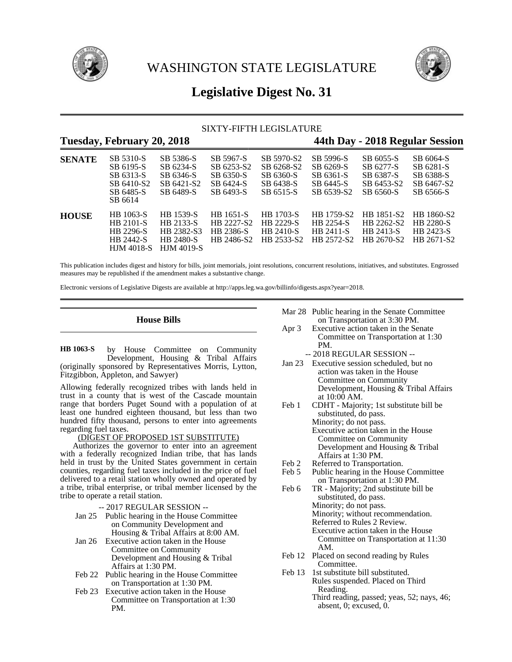



# **Legislative Digest No. 31**

# SIXTY-FIFTH LEGISLATURE

# **Tuesday, February 20, 2018 44th Day - 2018 Regular Session**

| <b>SENATE</b> | SB 5310-S<br>SB 6195-S<br>SB 6313-S<br>SB 6410-S2<br>SB 6485-S<br>SB 6614 | SB 5386-S<br>SB 6234-S<br>SB 6346-S<br>SB 6421-S2<br>SB 6489-S         | SB 5967-S<br>SB 6253-S2<br>SB 6350-S<br>SB 6424-S<br>SB 6493-S | SB 5970-S2<br>SB 6268-S2<br>SB 6360-S<br>SB 6438-S<br>SB 6515-S | SB 5996-S<br>SB 6269-S<br>SB 6361-S<br>SB 6445-S<br>SB 6539-S2   | SB 6055-S<br>SB 6277-S<br>SB 6387-S<br>SB 6453-S2<br>SB 6560-S | SB 6064-S<br>SB 6281-S<br>SB 6388-S<br>SB 6467-S2<br>SB 6566-S |
|---------------|---------------------------------------------------------------------------|------------------------------------------------------------------------|----------------------------------------------------------------|-----------------------------------------------------------------|------------------------------------------------------------------|----------------------------------------------------------------|----------------------------------------------------------------|
| <b>HOUSE</b>  | HB 1063-S<br>HB 2101-S<br>HB 2296-S<br>HB 2442-S<br><b>HJM 4018-S</b>     | HB 1539-S<br>HB 2133-S<br>HB 2382-S3<br>HB 2480-S<br><b>HJM 4019-S</b> | HB 1651-S<br>HB 2227-S2<br><b>HR 2386-S</b><br>HB 2486-S2      | <b>HB</b> 1703-S<br>HB 2229-S<br>HB 2410-S<br>HB 2533-S2        | HB 1759-S2<br><b>HB 2254-S</b><br><b>HR 2411-S</b><br>HB 2572-S2 | HB 1851-S2<br>HB 2262-S2<br>HB 2413-S<br>HB 2670-S2            | HB 1860-S2<br>HB 2280-S<br>HR 2423-S<br>HB 2671-S2             |

This publication includes digest and history for bills, joint memorials, joint resolutions, concurrent resolutions, initiatives, and substitutes. Engrossed measures may be republished if the amendment makes a substantive change.

Electronic versions of Legislative Digests are available at http://apps.leg.wa.gov/billinfo/digests.aspx?year=2018.

# **House Bills**

by House Committee on Community Development, Housing & Tribal Affairs (originally sponsored by Representatives Morris, Lytton, Fitzgibbon, Appleton, and Sawyer) **HB 1063-S**

Allowing federally recognized tribes with lands held in trust in a county that is west of the Cascade mountain range that borders Puget Sound with a population of at least one hundred eighteen thousand, but less than two hundred fifty thousand, persons to enter into agreements regarding fuel taxes.

# (DIGEST OF PROPOSED 1ST SUBSTITUTE)

Authorizes the governor to enter into an agreement with a federally recognized Indian tribe, that has lands held in trust by the United States government in certain counties, regarding fuel taxes included in the price of fuel delivered to a retail station wholly owned and operated by a tribe, tribal enterprise, or tribal member licensed by the tribe to operate a retail station.

- -- 2017 REGULAR SESSION --
- Jan 25 Public hearing in the House Committee on Community Development and Housing & Tribal Affairs at 8:00 AM.
- Jan 26 Executive action taken in the House Committee on Community Development and Housing & Tribal Affairs at 1:30 PM.
- Feb 22 Public hearing in the House Committee on Transportation at 1:30 PM.
- Feb 23 Executive action taken in the House Committee on Transportation at 1:30 PM.

Mar 28 Public hearing in the Senate Committee on Transportation at 3:30 PM.

- Apr 3 Executive action taken in the Senate Committee on Transportation at 1:30 PM.
	- -- 2018 REGULAR SESSION --
- Jan 23 Executive session scheduled, but no action was taken in the House Committee on Community Development, Housing & Tribal Affairs at 10:00 AM.
- Feb 1 CDHT Majority; 1st substitute bill be substituted, do pass. Minority; do not pass. Executive action taken in the House Committee on Community Development and Housing & Tribal Affairs at 1:30 PM.
- Feb 2 Referred to Transportation.
- Feb 5 Public hearing in the House Committee on Transportation at 1:30 PM.
- Feb 6 TR Majority; 2nd substitute bill be substituted, do pass. Minority; do not pass. Minority; without recommendation. Referred to Rules 2 Review. Executive action taken in the House Committee on Transportation at 11:30 AM.
- Feb 12 Placed on second reading by Rules Committee.
- Feb 13 1st substitute bill substituted. Rules suspended. Placed on Third Reading.
	- Third reading, passed; yeas, 52; nays, 46; absent, 0; excused, 0.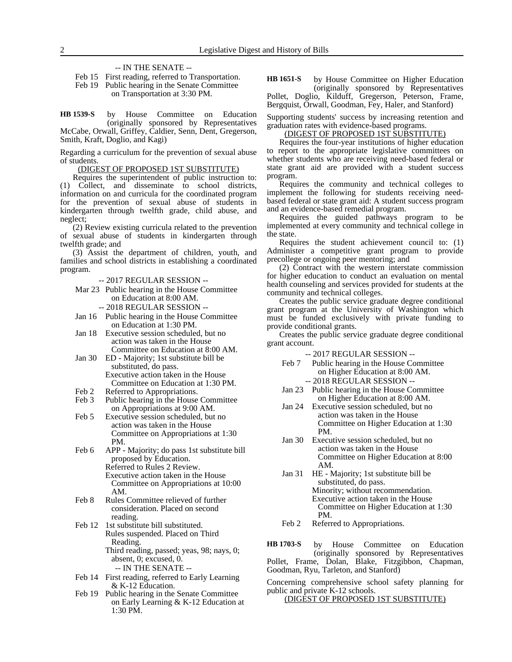#### -- IN THE SENATE --

Feb 15 First reading, referred to Transportation.

Feb 19 Public hearing in the Senate Committee on Transportation at 3:30 PM.

by House Committee on Education (originally sponsored by Representatives McCabe, Orwall, Griffey, Caldier, Senn, Dent, Gregerson, Smith, Kraft, Doglio, and Kagi) **HB 1539-S**

Regarding a curriculum for the prevention of sexual abuse of students.

#### (DIGEST OF PROPOSED 1ST SUBSTITUTE)

Requires the superintendent of public instruction to: (1) Collect, and disseminate to school districts, information on and curricula for the coordinated program for the prevention of sexual abuse of students in kindergarten through twelfth grade, child abuse, and neglect;

(2) Review existing curricula related to the prevention of sexual abuse of students in kindergarten through twelfth grade; and

(3) Assist the department of children, youth, and families and school districts in establishing a coordinated program.

-- 2017 REGULAR SESSION --

- Mar 23 Public hearing in the House Committee on Education at 8:00 AM.
	- -- 2018 REGULAR SESSION --
- Jan 16 Public hearing in the House Committee on Education at 1:30 PM.
- Jan 18 Executive session scheduled, but no action was taken in the House Committee on Education at 8:00 AM.
- Jan 30 ED Majority; 1st substitute bill be substituted, do pass. Executive action taken in the House Committee on Education at 1:30 PM.
- 
- Feb 2 Referred to Appropriations.<br>Feb 3 Public hearing in the House Public hearing in the House Committee on Appropriations at 9:00 AM.
- Feb 5 Executive session scheduled, but no action was taken in the House Committee on Appropriations at 1:30 PM.
- Feb 6 APP Majority; do pass 1st substitute bill proposed by Education.
	- Referred to Rules 2 Review. Executive action taken in the House Committee on Appropriations at 10:00 AM.
- Feb 8 Rules Committee relieved of further consideration. Placed on second reading.
- Feb 12 1st substitute bill substituted. Rules suspended. Placed on Third Reading. Third reading, passed; yeas, 98; nays, 0; absent, 0; excused, 0. -- IN THE SENATE --
- Feb 14 First reading, referred to Early Learning & K-12 Education.
- Feb 19 Public hearing in the Senate Committee on Early Learning & K-12 Education at 1:30 PM.

#### by House Committee on Higher Education (originally sponsored by Representatives Pollet, Doglio, Kilduff, Gregerson, Peterson, Frame, **HB 1651-S**

Bergquist, Orwall, Goodman, Fey, Haler, and Stanford)

Supporting students' success by increasing retention and graduation rates with evidence-based programs.

### (DIGEST OF PROPOSED 1ST SUBSTITUTE)

Requires the four-year institutions of higher education to report to the appropriate legislative committees on whether students who are receiving need-based federal or state grant aid are provided with a student success program.

Requires the community and technical colleges to implement the following for students receiving needbased federal or state grant aid: A student success program and an evidence-based remedial program.

Requires the guided pathways program to be implemented at every community and technical college in the state.

Requires the student achievement council to: (1) Administer a competitive grant program to provide precollege or ongoing peer mentoring; and

(2) Contract with the western interstate commission for higher education to conduct an evaluation on mental health counseling and services provided for students at the community and technical colleges.

Creates the public service graduate degree conditional grant program at the University of Washington which must be funded exclusively with private funding to provide conditional grants.

Creates the public service graduate degree conditional grant account.

-- 2017 REGULAR SESSION --

- Feb 7 Public hearing in the House Committee on Higher Education at 8:00 AM. -- 2018 REGULAR SESSION --
- Jan 23 Public hearing in the House Committee on Higher Education at 8:00 AM.
- Jan 24 Executive session scheduled, but no action was taken in the House Committee on Higher Education at 1:30 PM.
- Jan 30 Executive session scheduled, but no action was taken in the House Committee on Higher Education at 8:00 AM.
- Jan 31 HE Majority; 1st substitute bill be substituted, do pass. Minority; without recommendation. Executive action taken in the House Committee on Higher Education at 1:30 PM.
- Feb 2 Referred to Appropriations.

by House Committee on Education (originally sponsored by Representatives Pollet, Frame, Dolan, Blake, Fitzgibbon, Chapman, Goodman, Ryu, Tarleton, and Stanford) **HB 1703-S**

Concerning comprehensive school safety planning for public and private K-12 schools.

(DIGEST OF PROPOSED 1ST SUBSTITUTE)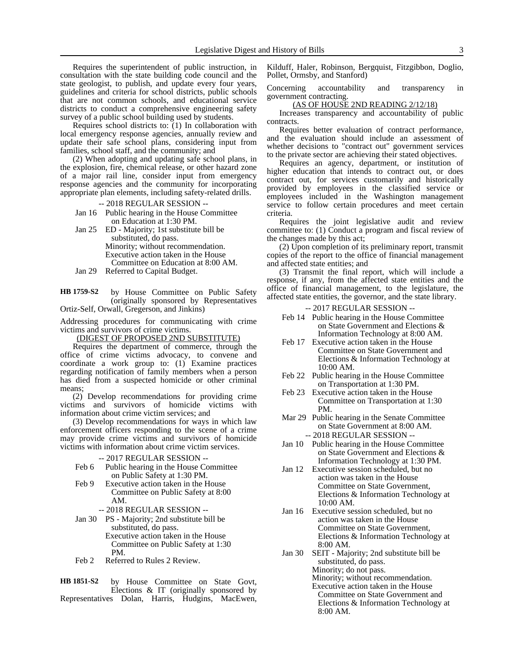Requires the superintendent of public instruction, in consultation with the state building code council and the state geologist, to publish, and update every four years, guidelines and criteria for school districts, public schools that are not common schools, and educational service districts to conduct a comprehensive engineering safety survey of a public school building used by students.

Requires school districts to: (1) In collaboration with local emergency response agencies, annually review and update their safe school plans, considering input from families, school staff, and the community; and

(2) When adopting and updating safe school plans, in the explosion, fire, chemical release, or other hazard zone of a major rail line, consider input from emergency response agencies and the community for incorporating appropriate plan elements, including safety-related drills.

-- 2018 REGULAR SESSION --

Jan 16 Public hearing in the House Committee on Education at 1:30 PM.

Jan 25 ED - Majority; 1st substitute bill be substituted, do pass. Minority; without recommendation. Executive action taken in the House Committee on Education at 8:00 AM. Jan 29 Referred to Capital Budget.

by House Committee on Public Safety **HB 1759-S2**

(originally sponsored by Representatives Ortiz-Self, Orwall, Gregerson, and Jinkins)

Addressing procedures for communicating with crime victims and survivors of crime victims.

(DIGEST OF PROPOSED 2ND SUBSTITUTE)

Requires the department of commerce, through the office of crime victims advocacy, to convene and coordinate a work group to: (1) Examine practices regarding notification of family members when a person has died from a suspected homicide or other criminal means;

(2) Develop recommendations for providing crime victims and survivors of homicide victims with information about crime victim services; and

(3) Develop recommendations for ways in which law enforcement officers responding to the scene of a crime may provide crime victims and survivors of homicide victims with information about crime victim services.

#### -- 2017 REGULAR SESSION --

- Feb 6 Public hearing in the House Committee on Public Safety at 1:30 PM.
- Feb 9 Executive action taken in the House Committee on Public Safety at 8:00 AM.

-- 2018 REGULAR SESSION --

- Jan 30 PS Majority; 2nd substitute bill be substituted, do pass. Executive action taken in the House Committee on Public Safety at 1:30 PM.
- Feb 2 Referred to Rules 2 Review.

by House Committee on State Govt, Elections & IT (originally sponsored by Representatives Dolan, Harris, Hudgins, MacEwen, **HB 1851-S2**

Kilduff, Haler, Robinson, Bergquist, Fitzgibbon, Doglio, Pollet, Ormsby, and Stanford)

Concerning accountability and transparency in government contracting.

(AS OF HOUSE 2ND READING 2/12/18)

Increases transparency and accountability of public contracts.

Requires better evaluation of contract performance, and the evaluation should include an assessment of whether decisions to "contract out" government services to the private sector are achieving their stated objectives.

Requires an agency, department, or institution of higher education that intends to contract out, or does contract out, for services customarily and historically provided by employees in the classified service or employees included in the Washington management service to follow certain procedures and meet certain criteria.

Requires the joint legislative audit and review committee to: (1) Conduct a program and fiscal review of the changes made by this act;

(2) Upon completion of its preliminary report, transmit copies of the report to the office of financial management and affected state entities; and

(3) Transmit the final report, which will include a response, if any, from the affected state entities and the office of financial management, to the legislature, the affected state entities, the governor, and the state library.

- Feb 14 Public hearing in the House Committee on State Government and Elections & Information Technology at 8:00 AM.
- Feb 17 Executive action taken in the House Committee on State Government and Elections & Information Technology at 10:00 AM.
- Feb 22 Public hearing in the House Committee on Transportation at 1:30 PM.
- Feb 23 Executive action taken in the House Committee on Transportation at 1:30 PM.
- Mar 29 Public hearing in the Senate Committee on State Government at 8:00 AM. -- 2018 REGULAR SESSION --
- Jan 10 Public hearing in the House Committee on State Government and Elections & Information Technology at 1:30 PM.
- Jan 12 Executive session scheduled, but no action was taken in the House Committee on State Government, Elections & Information Technology at 10:00 AM.
- Jan 16 Executive session scheduled, but no action was taken in the House Committee on State Government, Elections & Information Technology at 8:00 AM.
- Jan 30 SEIT Majority; 2nd substitute bill be substituted, do pass. Minority; do not pass. Minority; without recommendation. Executive action taken in the House Committee on State Government and Elections & Information Technology at 8:00 AM.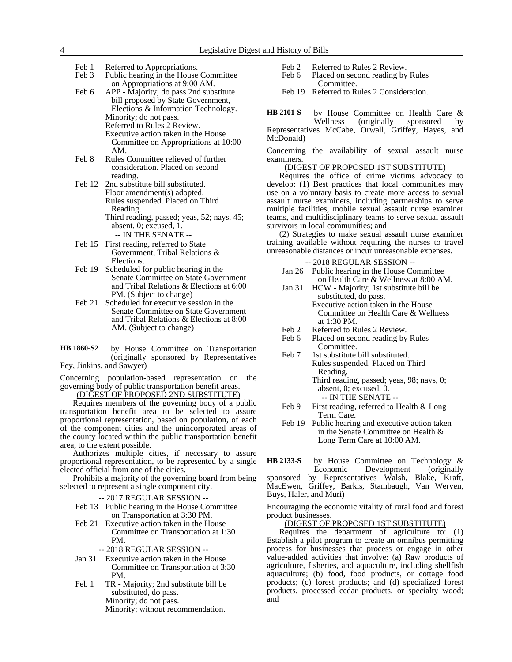Feb 1 Referred to Appropriations.

Feb 3 Public hearing in the House Committee on Appropriations at 9:00 AM.

- Feb 6 APP Majority; do pass 2nd substitute bill proposed by State Government, Elections & Information Technology. Minority; do not pass. Referred to Rules 2 Review. Executive action taken in the House Committee on Appropriations at 10:00 AM.
- Feb 8 Rules Committee relieved of further consideration. Placed on second reading.
- Feb 12 2nd substitute bill substituted. Floor amendment(s) adopted. Rules suspended. Placed on Third Reading. Third reading, passed; yeas, 52; nays, 45; absent, 0; excused, 1. -- IN THE SENATE --
- Feb 15 First reading, referred to State Government, Tribal Relations & Elections.
- Feb 19 Scheduled for public hearing in the Senate Committee on State Government and Tribal Relations & Elections at 6:00 PM. (Subject to change)
- Feb 21 Scheduled for executive session in the Senate Committee on State Government and Tribal Relations & Elections at 8:00 AM. (Subject to change)
- by House Committee on Transportation (originally sponsored by Representatives Fey, Jinkins, and Sawyer) **HB 1860-S2**

Concerning population-based representation on the governing body of public transportation benefit areas.

(DIGEST OF PROPOSED 2ND SUBSTITUTE)

Requires members of the governing body of a public transportation benefit area to be selected to assure proportional representation, based on population, of each of the component cities and the unincorporated areas of the county located within the public transportation benefit area, to the extent possible.

Authorizes multiple cities, if necessary to assure proportional representation, to be represented by a single elected official from one of the cities.

Prohibits a majority of the governing board from being selected to represent a single component city.

-- 2017 REGULAR SESSION --

- Feb 13 Public hearing in the House Committee on Transportation at 3:30 PM.
- Feb 21 Executive action taken in the House Committee on Transportation at 1:30 PM.
	- -- 2018 REGULAR SESSION --
- Jan 31 Executive action taken in the House Committee on Transportation at 3:30 PM.
- Feb 1 TR Majority; 2nd substitute bill be substituted, do pass. Minority; do not pass. Minority; without recommendation.
- Feb 2 Referred to Rules 2 Review.
- Feb 6 Placed on second reading by Rules Committee.
- Feb 19 Referred to Rules 2 Consideration.

by House Committee on Health Care & Wellness (originally sponsored by Representatives McCabe, Orwall, Griffey, Hayes, and McDonald) **HB 2101-S**

Concerning the availability of sexual assault nurse examiners.

# (DIGEST OF PROPOSED 1ST SUBSTITUTE)

Requires the office of crime victims advocacy to develop: (1) Best practices that local communities may use on a voluntary basis to create more access to sexual assault nurse examiners, including partnerships to serve multiple facilities, mobile sexual assault nurse examiner teams, and multidisciplinary teams to serve sexual assault survivors in local communities; and

(2) Strategies to make sexual assault nurse examiner training available without requiring the nurses to travel unreasonable distances or incur unreasonable expenses.

#### -- 2018 REGULAR SESSION --

- Jan 26 Public hearing in the House Committee on Health Care & Wellness at 8:00 AM.
- Jan 31 HCW Majority; 1st substitute bill be substituted, do pass. Executive action taken in the House Committee on Health Care & Wellness at 1:30 PM.
- 
- Feb 2 Referred to Rules 2 Review.<br>Feb 6 Placed on second reading by Placed on second reading by Rules Committee.
- Feb 7 1st substitute bill substituted. Rules suspended. Placed on Third Reading. Third reading, passed; yeas, 98; nays, 0;

absent, 0; excused, 0. -- IN THE SENATE --

- Feb 9 First reading, referred to Health & Long Term Care.
- Feb 19 Public hearing and executive action taken in the Senate Committee on Health & Long Term Care at 10:00 AM.

by House Committee on Technology & Economic Development (originally sponsored by Representatives Walsh, Blake, Kraft, MacEwen, Griffey, Barkis, Stambaugh, Van Werven, Buys, Haler, and Muri) **HB 2133-S**

Encouraging the economic vitality of rural food and forest product businesses.

# (DIGEST OF PROPOSED 1ST SUBSTITUTE)

Requires the department of agriculture to: (1) Establish a pilot program to create an omnibus permitting process for businesses that process or engage in other value-added activities that involve: (a) Raw products of agriculture, fisheries, and aquaculture, including shellfish aquaculture; (b) food, food products, or cottage food products; (c) forest products; and (d) specialized forest products, processed cedar products, or specialty wood; and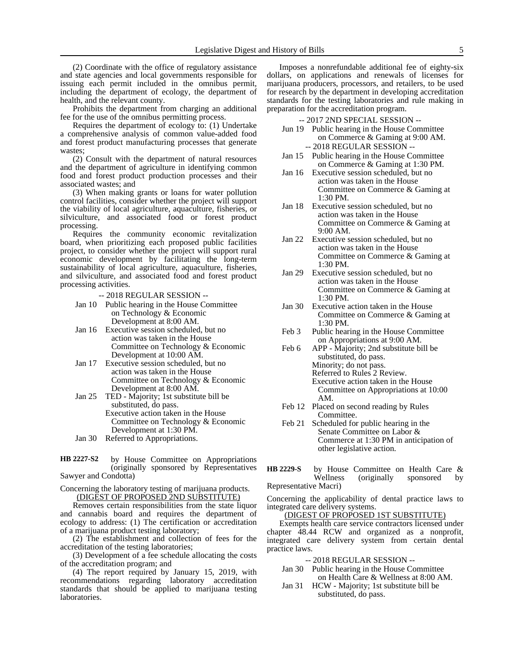(2) Coordinate with the office of regulatory assistance and state agencies and local governments responsible for issuing each permit included in the omnibus permit, including the department of ecology, the department of health, and the relevant county.

Prohibits the department from charging an additional fee for the use of the omnibus permitting process.

Requires the department of ecology to: (1) Undertake a comprehensive analysis of common value-added food and forest product manufacturing processes that generate wastes;

(2) Consult with the department of natural resources and the department of agriculture in identifying common food and forest product production processes and their associated wastes; and

(3) When making grants or loans for water pollution control facilities, consider whether the project will support the viability of local agriculture, aquaculture, fisheries, or silviculture, and associated food or forest product processing.

Requires the community economic revitalization board, when prioritizing each proposed public facilities project, to consider whether the project will support rural economic development by facilitating the long-term sustainability of local agriculture, aquaculture, fisheries, and silviculture, and associated food and forest product processing activities.

-- 2018 REGULAR SESSION --

- Jan 10 Public hearing in the House Committee on Technology & Economic Development at 8:00 AM.
- Jan 16 Executive session scheduled, but no action was taken in the House Committee on Technology & Economic Development at 10:00 AM.
- Jan 17 Executive session scheduled, but no action was taken in the House Committee on Technology & Economic Development at 8:00 AM.
- Jan 25 TED Majority; 1st substitute bill be substituted, do pass. Executive action taken in the House Committee on Technology & Economic Development at 1:30 PM.
- Jan 30 Referred to Appropriations.
- by House Committee on Appropriations (originally sponsored by Representatives Sawyer and Condotta) **HB 2227-S2**

Concerning the laboratory testing of marijuana products. (DIGEST OF PROPOSED 2ND SUBSTITUTE)

Removes certain responsibilities from the state liquor and cannabis board and requires the department of ecology to address: (1) The certification or accreditation of a marijuana product testing laboratory;

(2) The establishment and collection of fees for the accreditation of the testing laboratories;

(3) Development of a fee schedule allocating the costs of the accreditation program; and

(4) The report required by January 15, 2019, with recommendations regarding laboratory accreditation standards that should be applied to marijuana testing laboratories.

Imposes a nonrefundable additional fee of eighty-six dollars, on applications and renewals of licenses for marijuana producers, processors, and retailers, to be used for research by the department in developing accreditation standards for the testing laboratories and rule making in preparation for the accreditation program.

- -- 2017 2ND SPECIAL SESSION --
- Jun 19 Public hearing in the House Committee on Commerce & Gaming at 9:00 AM. -- 2018 REGULAR SESSION --
- Jan 15 Public hearing in the House Committee on Commerce & Gaming at 1:30 PM.
- Jan 16 Executive session scheduled, but no action was taken in the House Committee on Commerce & Gaming at 1:30 PM.
- Jan 18 Executive session scheduled, but no action was taken in the House Committee on Commerce & Gaming at 9:00 AM.
- Jan 22 Executive session scheduled, but no action was taken in the House Committee on Commerce & Gaming at 1:30 PM.
- Jan 29 Executive session scheduled, but no action was taken in the House Committee on Commerce & Gaming at 1:30 PM.
- Jan 30 Executive action taken in the House Committee on Commerce & Gaming at 1:30 PM.
- Feb 3 Public hearing in the House Committee on Appropriations at 9:00 AM.
- Feb 6 APP Majority; 2nd substitute bill be substituted, do pass. Minority; do not pass. Referred to Rules 2 Review. Executive action taken in the House Committee on Appropriations at 10:00 AM.
- Feb 12 Placed on second reading by Rules Committee.
- Feb 21 Scheduled for public hearing in the Senate Committee on Labor & Commerce at 1:30 PM in anticipation of other legislative action.
- by House Committee on Health Care & Wellness (originally sponsored by (originally sponsored by Representative Macri) **HB 2229-S**

Concerning the applicability of dental practice laws to integrated care delivery systems.

# (DIGEST OF PROPOSED 1ST SUBSTITUTE)

Exempts health care service contractors licensed under chapter 48.44 RCW and organized as a nonprofit, integrated care delivery system from certain dental practice laws.

- Jan 30 Public hearing in the House Committee on Health Care & Wellness at 8:00 AM.
- Jan 31 HCW Majority; 1st substitute bill be substituted, do pass.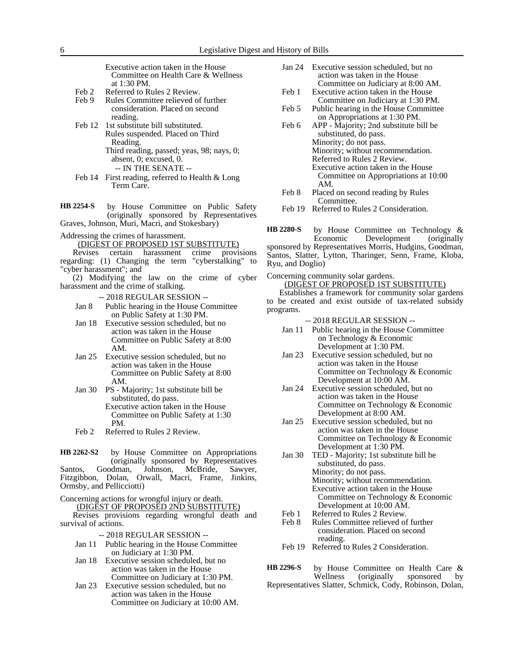Executive action taken in the House Committee on Health Care & Wellness at 1:30 PM.

- Feb 2 Referred to Rules 2 Review.
- Feb 9 Rules Committee relieved of further consideration. Placed on second reading.
- Feb 12 1st substitute bill substituted. Rules suspended. Placed on Third Reading. Third reading, passed; yeas, 98; nays, 0;
	- absent, 0; excused, 0. -- IN THE SENATE --
- Feb 14 First reading, referred to Health & Long Term Care.

by House Committee on Public Safety (originally sponsored by Representatives Graves, Johnson, Muri, Macri, and Stokesbary) **HB 2254-S**

Addressing the crimes of harassment.

(DIGEST OF PROPOSED 1ST SUBSTITUTE)<br>levises certain harassment crime provi Revises certain harassment crime provisions regarding: (1) Changing the term "cyberstalking" to "cyber harassment"; and

(2) Modifying the law on the crime of cyber harassment and the crime of stalking.

-- 2018 REGULAR SESSION --

- Jan 8 Public hearing in the House Committee on Public Safety at 1:30 PM.
- Jan 18 Executive session scheduled, but no action was taken in the House Committee on Public Safety at 8:00 AM.
- Jan 25 Executive session scheduled, but no action was taken in the House Committee on Public Safety at 8:00 AM.
- Jan 30 PS Majority; 1st substitute bill be substituted, do pass. Executive action taken in the House Committee on Public Safety at 1:30 PM.
- Feb 2 Referred to Rules 2 Review.

by House Committee on Appropriations (originally sponsored by Representatives Santos, Goodman, Johnson, McBride, Sawyer, Fitzgibbon, Dolan, Orwall, Macri, Frame, Jinkins, Ormsby, and Pellicciotti) **HB 2262-S2**

Concerning actions for wrongful injury or death. (DIGEST OF PROPOSED 2ND SUBSTITUTE)

Revises provisions regarding wrongful death and survival of actions.

- -- 2018 REGULAR SESSION --
- Jan 11 Public hearing in the House Committee on Judiciary at 1:30 PM.
- Jan 18 Executive session scheduled, but no action was taken in the House Committee on Judiciary at 1:30 PM.
- Jan 23 Executive session scheduled, but no action was taken in the House Committee on Judiciary at 10:00 AM.
- Jan 24 Executive session scheduled, but no action was taken in the House Committee on Judiciary at 8:00 AM.
- Feb 1 Executive action taken in the House Committee on Judiciary at 1:30 PM.
- Feb 5 Public hearing in the House Committee on Appropriations at 1:30 PM.
- Feb 6 APP Majority; 2nd substitute bill be substituted, do pass. Minority; do not pass. Minority; without recommendation. Referred to Rules 2 Review. Executive action taken in the House Committee on Appropriations at 10:00 AM.
- Feb 8 Placed on second reading by Rules Committee.
- Feb 19 Referred to Rules 2 Consideration.

by House Committee on Technology &<br>Economic Development (originally Economic Development sponsored by Representatives Morris, Hudgins, Goodman, Santos, Slatter, Lytton, Tharinger, Senn, Frame, Kloba, Ryu, and Doglio) **HB 2280-S**

Concerning community solar gardens.

# (DIGEST OF PROPOSED 1ST SUBSTITUTE)

Establishes a framework for community solar gardens to be created and exist outside of tax-related subsidy programs.

-- 2018 REGULAR SESSION --

- Jan 11 Public hearing in the House Committee on Technology & Economic Development at 1:30 PM.
- Jan 23 Executive session scheduled, but no action was taken in the House Committee on Technology & Economic Development at 10:00 AM.
- Jan 24 Executive session scheduled, but no action was taken in the House Committee on Technology & Economic Development at 8:00 AM.
- Jan 25 Executive session scheduled, but no action was taken in the House Committee on Technology & Economic Development at 1:30 PM.
- Jan 30 TED Majority; 1st substitute bill be substituted, do pass. Minority; do not pass. Minority; without recommendation. Executive action taken in the House Committee on Technology & Economic Development at 10:00 AM.
- Feb 1 Referred to Rules 2 Review.
- Feb 8 Rules Committee relieved of further consideration. Placed on second reading.
- Feb 19 Referred to Rules 2 Consideration.

by House Committee on Health Care &<br>Wellness (originally sponsored by (originally sponsored by Representatives Slatter, Schmick, Cody, Robinson, Dolan, **HB 2296-S**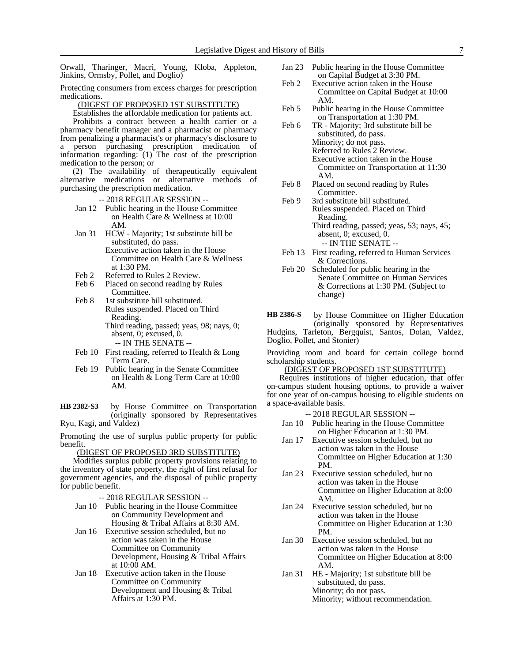Orwall, Tharinger, Macri, Young, Kloba, Appleton, Jinkins, Ormsby, Pollet, and Doglio)

Protecting consumers from excess charges for prescription medications.

(DIGEST OF PROPOSED 1ST SUBSTITUTE)

Establishes the affordable medication for patients act.

Prohibits a contract between a health carrier or a pharmacy benefit manager and a pharmacist or pharmacy from penalizing a pharmacist's or pharmacy's disclosure to a person purchasing prescription medication of information regarding: (1) The cost of the prescription medication to the person; or

(2) The availability of therapeutically equivalent alternative medications or alternative methods of purchasing the prescription medication.

- -- 2018 REGULAR SESSION --
- Jan 12 Public hearing in the House Committee on Health Care & Wellness at 10:00 AM.
- Jan 31 HCW Majority; 1st substitute bill be substituted, do pass. Executive action taken in the House Committee on Health Care & Wellness at 1:30 PM.
- Feb 2 Referred to Rules 2 Review.
- Feb 6 Placed on second reading by Rules Committee.
- Feb 8 1st substitute bill substituted. Rules suspended. Placed on Third Reading. Third reading, passed; yeas, 98; nays, 0; absent, 0; excused, 0. -- IN THE SENATE --
- Feb 10 First reading, referred to Health & Long Term Care.
- Feb 19 Public hearing in the Senate Committee on Health & Long Term Care at 10:00 AM.

by House Committee on Transportation (originally sponsored by Representatives Ryu, Kagi, and Valdez) **HB 2382-S3**

Promoting the use of surplus public property for public benefit.

#### (DIGEST OF PROPOSED 3RD SUBSTITUTE)

Modifies surplus public property provisions relating to the inventory of state property, the right of first refusal for government agencies, and the disposal of public property for public benefit.

-- 2018 REGULAR SESSION --

- Jan 10 Public hearing in the House Committee on Community Development and Housing & Tribal Affairs at 8:30 AM.
- Jan 16 Executive session scheduled, but no action was taken in the House Committee on Community Development, Housing & Tribal Affairs at 10:00 AM.
- Jan 18 Executive action taken in the House Committee on Community Development and Housing & Tribal Affairs at 1:30 PM.
- Jan 23 Public hearing in the House Committee on Capital Budget at 3:30 PM.
- Feb 2 Executive action taken in the House Committee on Capital Budget at 10:00 AM.
- Feb 5 Public hearing in the House Committee on Transportation at 1:30 PM.
- Feb 6 TR Majority; 3rd substitute bill be substituted, do pass. Minority; do not pass. Referred to Rules 2 Review. Executive action taken in the House Committee on Transportation at 11:30 AM.
- Feb 8 Placed on second reading by Rules Committee.
- Feb 9 3rd substitute bill substituted. Rules suspended. Placed on Third Reading. Third reading, passed; yeas, 53; nays, 45; absent, 0; excused, 0. -- IN THE SENATE --
- Feb 13 First reading, referred to Human Services & Corrections.
- Feb 20 Scheduled for public hearing in the Senate Committee on Human Services & Corrections at 1:30 PM. (Subject to change)

by House Committee on Higher Education (originally sponsored by Representatives Hudgins, Tarleton, Bergquist, Santos, Dolan, Valdez, Doglio, Pollet, and Stonier) **HB 2386-S**

Providing room and board for certain college bound scholarship students.

(DIGEST OF PROPOSED 1ST SUBSTITUTE)

Requires institutions of higher education, that offer on-campus student housing options, to provide a waiver for one year of on-campus housing to eligible students on a space-available basis.

- Jan 10 Public hearing in the House Committee on Higher Education at 1:30 PM.
- Jan 17 Executive session scheduled, but no action was taken in the House Committee on Higher Education at 1:30 PM.
- Jan 23 Executive session scheduled, but no action was taken in the House Committee on Higher Education at 8:00 AM.
- Jan 24 Executive session scheduled, but no action was taken in the House Committee on Higher Education at 1:30 PM.
- Jan 30 Executive session scheduled, but no action was taken in the House Committee on Higher Education at 8:00 AM.
- Jan 31 HE Majority; 1st substitute bill be substituted, do pass. Minority; do not pass. Minority; without recommendation.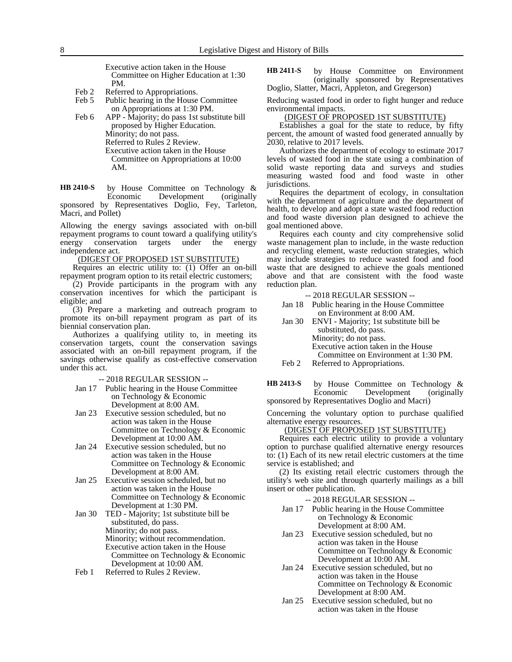Executive action taken in the House Committee on Higher Education at 1:30 PM.

- Feb 2 Referred to Appropriations.
- Feb 5 Public hearing in the House Committee on Appropriations at 1:30 PM.
- Feb 6 APP Majority; do pass 1st substitute bill proposed by Higher Education. Minority; do not pass. Referred to Rules 2 Review. Executive action taken in the House Committee on Appropriations at 10:00 AM.

by House Committee on Technology &<br>Economic Development (originally Development (originally sponsored by Representatives Doglio, Fey, Tarleton, Macri, and Pollet) **HB 2410-S**

Allowing the energy savings associated with on-bill repayment programs to count toward a qualifying utility's energy conservation targets under the energy independence act.

(DIGEST OF PROPOSED 1ST SUBSTITUTE)

Requires an electric utility to: (1) Offer an on-bill repayment program option to its retail electric customers;

(2) Provide participants in the program with any conservation incentives for which the participant is eligible; and

(3) Prepare a marketing and outreach program to promote its on-bill repayment program as part of its biennial conservation plan.

Authorizes a qualifying utility to, in meeting its conservation targets, count the conservation savings associated with an on-bill repayment program, if the savings otherwise qualify as cost-effective conservation under this act.

-- 2018 REGULAR SESSION --

- Jan 17 Public hearing in the House Committee on Technology & Economic Development at 8:00 AM.
- Jan 23 Executive session scheduled, but no action was taken in the House Committee on Technology & Economic Development at 10:00 AM.
- Jan 24 Executive session scheduled, but no action was taken in the House Committee on Technology & Economic Development at 8:00 AM.
- Jan 25 Executive session scheduled, but no action was taken in the House Committee on Technology & Economic Development at 1:30 PM.
- Jan 30 TED Majority; 1st substitute bill be substituted, do pass. Minority; do not pass. Minority; without recommendation. Executive action taken in the House Committee on Technology & Economic Development at 10:00 AM.
- Feb 1 Referred to Rules 2 Review.

by House Committee on Environment (originally sponsored by Representatives Doglio, Slatter, Macri, Appleton, and Gregerson) **HB 2411-S**

Reducing wasted food in order to fight hunger and reduce environmental impacts.

#### (DIGEST OF PROPOSED 1ST SUBSTITUTE)

Establishes a goal for the state to reduce, by fifty percent, the amount of wasted food generated annually by 2030, relative to 2017 levels.

Authorizes the department of ecology to estimate 2017 levels of wasted food in the state using a combination of solid waste reporting data and surveys and studies measuring wasted food and food waste in other jurisdictions.

Requires the department of ecology, in consultation with the department of agriculture and the department of health, to develop and adopt a state wasted food reduction and food waste diversion plan designed to achieve the goal mentioned above.

Requires each county and city comprehensive solid waste management plan to include, in the waste reduction and recycling element, waste reduction strategies, which may include strategies to reduce wasted food and food waste that are designed to achieve the goals mentioned above and that are consistent with the food waste reduction plan.

-- 2018 REGULAR SESSION --

- Jan 18 Public hearing in the House Committee on Environment at 8:00 AM.
- Jan 30 ENVI Majority; 1st substitute bill be substituted, do pass. Minority; do not pass. Executive action taken in the House Committee on Environment at 1:30 PM.
- Feb 2 Referred to Appropriations.

by House Committee on Technology & Economic Development (originally sponsored by Representatives Doglio and Macri) **HB 2413-S**

Concerning the voluntary option to purchase qualified alternative energy resources.

#### (DIGEST OF PROPOSED 1ST SUBSTITUTE)

Requires each electric utility to provide a voluntary option to purchase qualified alternative energy resources to: (1) Each of its new retail electric customers at the time service is established; and

(2) Its existing retail electric customers through the utility's web site and through quarterly mailings as a bill insert or other publication.

- Jan 17 Public hearing in the House Committee on Technology & Economic Development at 8:00 AM.
- Jan 23 Executive session scheduled, but no action was taken in the House Committee on Technology & Economic Development at 10:00 AM.
- Jan 24 Executive session scheduled, but no action was taken in the House Committee on Technology & Economic Development at 8:00 AM.
- Jan 25 Executive session scheduled, but no action was taken in the House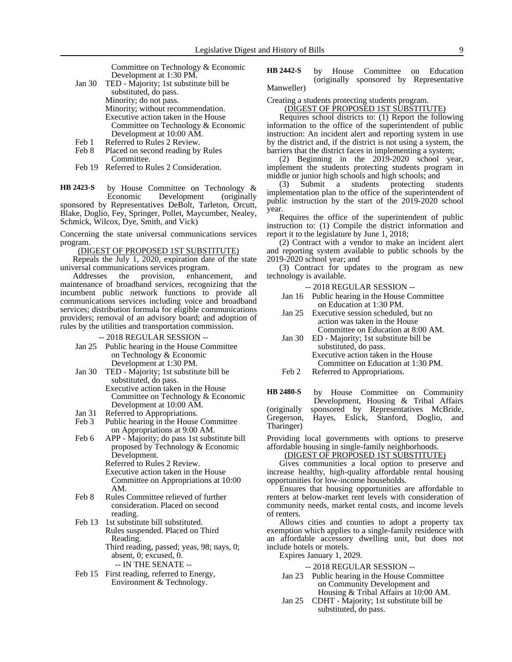Committee on Technology & Economic Development at 1:30 PM.

- Jan 30 TED Majority; 1st substitute bill be substituted, do pass. Minority; do not pass. Minority; without recommendation. Executive action taken in the House Committee on Technology & Economic Development at 10:00 AM. Feb 1 Referred to Rules 2 Review.
- Feb 8 Placed on second reading by Rules
- Committee. Feb 19 Referred to Rules 2 Consideration.

by House Committee on Technology &<br>Economic Development (originally Development (originally **HB 2423-S**

sponsored by Representatives DeBolt, Tarleton, Orcutt, Blake, Doglio, Fey, Springer, Pollet, Maycumber, Nealey, Schmick, Wilcox, Dye, Smith, and Vick)

Concerning the state universal communications services program.

#### (DIGEST OF PROPOSED 1ST SUBSTITUTE)

Repeals the July 1, 2020, expiration date of the state universal communications services program.

Addresses the provision, enhancement, and maintenance of broadband services, recognizing that the incumbent public network functions to provide all communications services including voice and broadband services; distribution formula for eligible communications providers; removal of an advisory board; and adoption of rules by the utilities and transportation commission.

-- 2018 REGULAR SESSION --

- Jan 25 Public hearing in the House Committee on Technology & Economic Development at 1:30 PM.
- Jan 30 TED Majority; 1st substitute bill be substituted, do pass.
	- Executive action taken in the House Committee on Technology & Economic Development at 10:00 AM.
- Jan 31 Referred to Appropriations.<br>Feb 3 Public hearing in the House
- Public hearing in the House Committee on Appropriations at 9:00 AM.
- Feb 6 APP Majority; do pass 1st substitute bill proposed by Technology & Economic Development.

Referred to Rules 2 Review. Executive action taken in the House Committee on Appropriations at 10:00 AM.

- Feb 8 Rules Committee relieved of further consideration. Placed on second reading.
- Feb 13 1st substitute bill substituted. Rules suspended. Placed on Third Reading. Third reading, passed; yeas, 98; nays, 0; absent, 0; excused, 0. -- IN THE SENATE --
- Feb 15 First reading, referred to Energy, Environment & Technology.

by House Committee on Education (originally sponsored by Representative Manweller) **HB 2442-S**

### Creating a students protecting students program.

(DIGEST OF PROPOSED 1ST SUBSTITUTE)

Requires school districts to: (1) Report the following information to the office of the superintendent of public instruction: An incident alert and reporting system in use by the district and, if the district is not using a system, the barriers that the district faces in implementing a system;

(2) Beginning in the 2019-2020 school year, implement the students protecting students program in middle or junior high schools and high schools; and

(3) Submit a students protecting students implementation plan to the office of the superintendent of public instruction by the start of the 2019-2020 school year.

Requires the office of the superintendent of public instruction to: (1) Compile the district information and report it to the legislature by June 1, 2018;

(2) Contract with a vendor to make an incident alert and reporting system available to public schools by the 2019-2020 school year; and

(3) Contract for updates to the program as new technology is available.

- -- 2018 REGULAR SESSION --
- Jan 16 Public hearing in the House Committee on Education at 1:30 PM.
- Jan 25 Executive session scheduled, but no action was taken in the House Committee on Education at 8:00 AM.
- Jan 30 ED Majority; 1st substitute bill be substituted, do pass. Executive action taken in the House Committee on Education at 1:30 PM.
- Feb 2 Referred to Appropriations.

by House Committee on Community Development, Housing & Tribal Affairs (originally sponsored by Representatives McBride, Gregerson, Hayes, Eslick, Stanford, Doglio, and Hayes, Eslick, Stanford, Doglio, and Tharinger) **HB 2480-S**

Providing local governments with options to preserve affordable housing in single-family neighborhoods.

# (DIGEST OF PROPOSED 1ST SUBSTITUTE)

Gives communities a local option to preserve and increase healthy, high-quality affordable rental housing opportunities for low-income households.

Ensures that housing opportunities are affordable to renters at below-market rent levels with consideration of community needs, market rental costs, and income levels of renters.

Allows cities and counties to adopt a property tax exemption which applies to a single-family residence with an affordable accessory dwelling unit, but does not include hotels or motels.

Expires January 1, 2029.

- Jan 23 Public hearing in the House Committee on Community Development and Housing & Tribal Affairs at 10:00 AM.
- Jan 25 CDHT Majority; 1st substitute bill be substituted, do pass.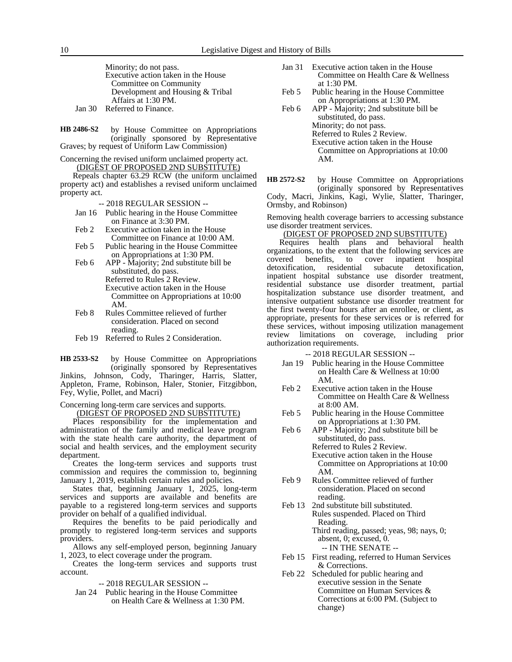Minority; do not pass. Executive action taken in the House Committee on Community Development and Housing & Tribal Affairs at 1:30 PM. Jan 30 Referred to Finance.

by House Committee on Appropriations (originally sponsored by Representative Graves; by request of Uniform Law Commission) **HB 2486-S2**

Concerning the revised uniform unclaimed property act. (DIGEST OF PROPOSED 2ND SUBSTITUTE)

Repeals chapter 63.29 RCW (the uniform unclaimed property act) and establishes a revised uniform unclaimed property act.

-- 2018 REGULAR SESSION --

- Jan 16 Public hearing in the House Committee on Finance at 3:30 PM.
- Feb 2 Executive action taken in the House Committee on Finance at 10:00 AM.
- Feb 5 Public hearing in the House Committee on Appropriations at 1:30 PM.
- Feb 6 APP Majority; 2nd substitute bill be substituted, do pass. Referred to Rules 2 Review. Executive action taken in the House Committee on Appropriations at 10:00 AM.
- Feb 8 Rules Committee relieved of further consideration. Placed on second reading.
- Feb 19 Referred to Rules 2 Consideration.

by House Committee on Appropriations (originally sponsored by Representatives Jinkins, Johnson, Cody, Tharinger, Harris, Slatter, Appleton, Frame, Robinson, Haler, Stonier, Fitzgibbon, Fey, Wylie, Pollet, and Macri) **HB 2533-S2**

Concerning long-term care services and supports.

(DIGEST OF PROPOSED 2ND SUBSTITUTE)

Places responsibility for the implementation and administration of the family and medical leave program with the state health care authority, the department of social and health services, and the employment security department.

Creates the long-term services and supports trust commission and requires the commission to, beginning January 1, 2019, establish certain rules and policies.

States that, beginning January 1, 2025, long-term services and supports are available and benefits are payable to a registered long-term services and supports provider on behalf of a qualified individual.

Requires the benefits to be paid periodically and promptly to registered long-term services and supports providers.

Allows any self-employed person, beginning January 1, 2023, to elect coverage under the program.

Creates the long-term services and supports trust account.

-- 2018 REGULAR SESSION --

Jan 24 Public hearing in the House Committee on Health Care & Wellness at 1:30 PM.

- Jan 31 Executive action taken in the House Committee on Health Care & Wellness at 1:30 PM.
- Feb 5 Public hearing in the House Committee on Appropriations at 1:30 PM.
- Feb 6 APP Majority; 2nd substitute bill be substituted, do pass. Minority; do not pass. Referred to Rules 2 Review. Executive action taken in the House Committee on Appropriations at 10:00 AM.

by House Committee on Appropriations (originally sponsored by Representatives Cody, Macri, Jinkins, Kagi, Wylie, Slatter, Tharinger, Ormsby, and Robinson) **HB 2572-S2**

Removing health coverage barriers to accessing substance use disorder treatment services.

(DIGEST OF PROPOSED 2ND SUBSTITUTE)

Requires health plans and behavioral health organizations, to the extent that the following services are covered benefits, to cover inpatient hospital detoxification, residential subacute detoxification, detoxification, residential subacute detoxification, inpatient hospital substance use disorder treatment, residential substance use disorder treatment, partial hospitalization substance use disorder treatment, and intensive outpatient substance use disorder treatment for the first twenty-four hours after an enrollee, or client, as appropriate, presents for these services or is referred for these services, without imposing utilization management review limitations on coverage, including prior authorization requirements.

- -- 2018 REGULAR SESSION --
- Jan 19 Public hearing in the House Committee on Health Care & Wellness at 10:00 AM.
- Feb 2 Executive action taken in the House Committee on Health Care & Wellness at 8:00 AM.
- Feb 5 Public hearing in the House Committee on Appropriations at 1:30 PM.
- Feb 6 APP Majority; 2nd substitute bill be substituted, do pass. Referred to Rules 2 Review. Executive action taken in the House Committee on Appropriations at 10:00
- AM. Feb 9 Rules Committee relieved of further consideration. Placed on second reading.
- Feb 13 2nd substitute bill substituted. Rules suspended. Placed on Third Reading. Third reading, passed; yeas, 98; nays, 0; absent, 0; excused, 0. -- IN THE SENATE --
- Feb 15 First reading, referred to Human Services & Corrections.
- Feb 22 Scheduled for public hearing and executive session in the Senate Committee on Human Services & Corrections at 6:00 PM. (Subject to change)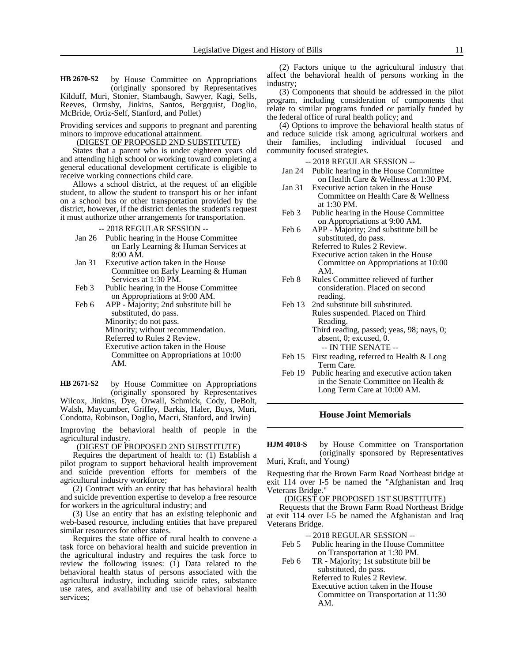by House Committee on Appropriations (originally sponsored by Representatives Kilduff, Muri, Stonier, Stambaugh, Sawyer, Kagi, Sells, Reeves, Ormsby, Jinkins, Santos, Bergquist, Doglio, **HB 2670-S2**

Providing services and supports to pregnant and parenting minors to improve educational attainment.

McBride, Ortiz-Self, Stanford, and Pollet)

#### (DIGEST OF PROPOSED 2ND SUBSTITUTE)

States that a parent who is under eighteen years old and attending high school or working toward completing a general educational development certificate is eligible to receive working connections child care.

Allows a school district, at the request of an eligible student, to allow the student to transport his or her infant on a school bus or other transportation provided by the district, however, if the district denies the student's request it must authorize other arrangements for transportation.

-- 2018 REGULAR SESSION --

- Jan 26 Public hearing in the House Committee on Early Learning & Human Services at 8:00 AM.
- Jan 31 Executive action taken in the House Committee on Early Learning & Human Services at 1:30 PM.
- Feb 3 Public hearing in the House Committee on Appropriations at 9:00 AM.
- Feb 6 APP Majority; 2nd substitute bill be substituted, do pass. Minority; do not pass. Minority; without recommendation. Referred to Rules 2 Review. Executive action taken in the House Committee on Appropriations at 10:00 AM.

by House Committee on Appropriations (originally sponsored by Representatives Wilcox, Jinkins, Dye, Orwall, Schmick, Cody, DeBolt, Walsh, Maycumber, Griffey, Barkis, Haler, Buys, Muri, Condotta, Robinson, Doglio, Macri, Stanford, and Irwin) **HB 2671-S2**

Improving the behavioral health of people in the agricultural industry.

(DIGEST OF PROPOSED 2ND SUBSTITUTE)

Requires the department of health to: (1) Establish a pilot program to support behavioral health improvement and suicide prevention efforts for members of the agricultural industry workforce;

(2) Contract with an entity that has behavioral health and suicide prevention expertise to develop a free resource for workers in the agricultural industry; and

(3) Use an entity that has an existing telephonic and web-based resource, including entities that have prepared similar resources for other states.

Requires the state office of rural health to convene a task force on behavioral health and suicide prevention in the agricultural industry and requires the task force to review the following issues:  $(1)$  Data related to the behavioral health status of persons associated with the agricultural industry, including suicide rates, substance use rates, and availability and use of behavioral health services;

(2) Factors unique to the agricultural industry that affect the behavioral health of persons working in the industry;

(3) Components that should be addressed in the pilot program, including consideration of components that relate to similar programs funded or partially funded by the federal office of rural health policy; and

(4) Options to improve the behavioral health status of and reduce suicide risk among agricultural workers and their families, including individual focused and community focused strategies.

-- 2018 REGULAR SESSION --

- Jan 24 Public hearing in the House Committee on Health Care & Wellness at 1:30 PM.
- Jan 31 Executive action taken in the House Committee on Health Care & Wellness at 1:30 PM.
- Feb 3 Public hearing in the House Committee on Appropriations at 9:00 AM.
- Feb 6 APP Majority; 2nd substitute bill be substituted, do pass. Referred to Rules 2 Review. Executive action taken in the House Committee on Appropriations at 10:00 AM.
- Feb 8 Rules Committee relieved of further consideration. Placed on second reading.
- Feb 13 2nd substitute bill substituted. Rules suspended. Placed on Third Reading. Third reading, passed; yeas, 98; nays, 0; absent, 0; excused, 0.

-- IN THE SENATE --

- Feb 15 First reading, referred to Health & Long Term Care.
- Feb 19 Public hearing and executive action taken in the Senate Committee on Health & Long Term Care at 10:00 AM.

#### **House Joint Memorials**

by House Committee on Transportation (originally sponsored by Representatives Muri, Kraft, and Young) **HJM 4018-S**

Requesting that the Brown Farm Road Northeast bridge at exit 114 over I-5 be named the "Afghanistan and Iraq Veterans Bridge."

(DIGEST OF PROPOSED 1ST SUBSTITUTE)

Requests that the Brown Farm Road Northeast Bridge at exit 114 over I-5 be named the Afghanistan and Iraq Veterans Bridge.

- -- 2018 REGULAR SESSION --
- Feb 5 Public hearing in the House Committee on Transportation at 1:30 PM.
- Feb 6 TR Majority; 1st substitute bill be substituted, do pass. Referred to Rules 2 Review. Executive action taken in the House Committee on Transportation at 11:30 AM.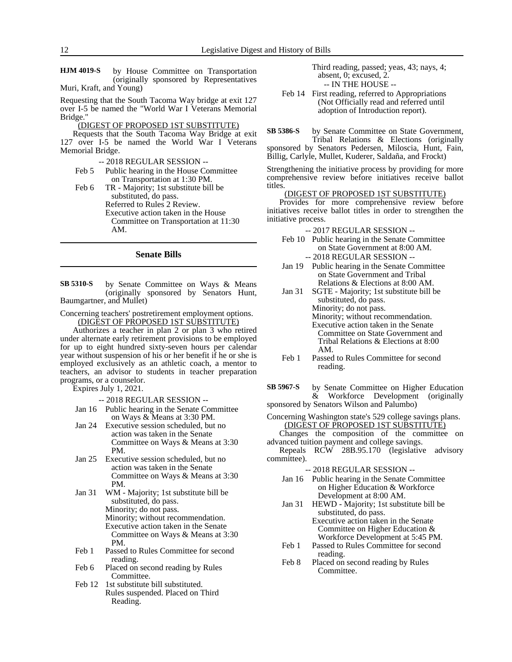by House Committee on Transportation (originally sponsored by Representatives Muri, Kraft, and Young) **HJM 4019-S**

Requesting that the South Tacoma Way bridge at exit 127 over I-5 be named the "World War I Veterans Memorial Bridge."

#### (DIGEST OF PROPOSED 1ST SUBSTITUTE)

Requests that the South Tacoma Way Bridge at exit 127 over I-5 be named the World War I Veterans Memorial Bridge.

-- 2018 REGULAR SESSION --

Feb 5 Public hearing in the House Committee on Transportation at 1:30 PM.

Feb 6 TR - Majority; 1st substitute bill be substituted, do pass. Referred to Rules 2 Review. Executive action taken in the House Committee on Transportation at 11:30 AM.

# **Senate Bills**

by Senate Committee on Ways & Means (originally sponsored by Senators Hunt, Baumgartner, and Mullet) **SB 5310-S**

Concerning teachers' postretirement employment options. (DIGEST OF PROPOSED 1ST SUBSTITUTE)

Authorizes a teacher in plan 2 or plan 3 who retired under alternate early retirement provisions to be employed for up to eight hundred sixty-seven hours per calendar year without suspension of his or her benefit if he or she is employed exclusively as an athletic coach, a mentor to teachers, an advisor to students in teacher preparation programs, or a counselor.

Expires July 1, 2021.

-- 2018 REGULAR SESSION --

- Jan 16 Public hearing in the Senate Committee on Ways & Means at 3:30 PM.
- Jan 24 Executive session scheduled, but no action was taken in the Senate Committee on Ways & Means at 3:30 PM.
- Jan 25 Executive session scheduled, but no action was taken in the Senate Committee on Ways & Means at 3:30 PM.
- Jan 31 WM Majority; 1st substitute bill be substituted, do pass. Minority; do not pass. Minority; without recommendation. Executive action taken in the Senate Committee on Ways & Means at 3:30 PM.
- Feb 1 Passed to Rules Committee for second reading.
- Feb 6 Placed on second reading by Rules Committee.
- Feb 12 1st substitute bill substituted. Rules suspended. Placed on Third Reading.

Third reading, passed; yeas, 43; nays, 4; absent, 0; excused, 2. -- IN THE HOUSE --

Feb 14 First reading, referred to Appropriations (Not Officially read and referred until adoption of Introduction report).

by Senate Committee on State Government, Tribal Relations & Elections (originally sponsored by Senators Pedersen, Miloscia, Hunt, Fain, **SB 5386-S**

Billig, Carlyle, Mullet, Kuderer, Saldaña, and Frockt)

Strengthening the initiative process by providing for more comprehensive review before initiatives receive ballot titles.

#### (DIGEST OF PROPOSED 1ST SUBSTITUTE)

Provides for more comprehensive review before initiatives receive ballot titles in order to strengthen the initiative process.

-- 2017 REGULAR SESSION --

- Feb 10 Public hearing in the Senate Committee on State Government at 8:00 AM. -- 2018 REGULAR SESSION --
- Jan 19 Public hearing in the Senate Committee on State Government and Tribal Relations & Elections at 8:00 AM.
- Jan 31 SGTE Majority; 1st substitute bill be substituted, do pass. Minority; do not pass. Minority; without recommendation. Executive action taken in the Senate Committee on State Government and Tribal Relations & Elections at 8:00 AM.
- Feb 1 Passed to Rules Committee for second reading.

by Senate Committee on Higher Education & Workforce Development (originally sponsored by Senators Wilson and Palumbo) **SB 5967-S**

Concerning Washington state's 529 college savings plans. (DIGEST OF PROPOSED 1ST SUBSTITUTE)

Changes the composition of the committee on advanced tuition payment and college savings.

Repeals RCW 28B.95.170 (legislative advisory committee).

- Jan 16 Public hearing in the Senate Committee on Higher Education & Workforce Development at 8:00 AM.
- Jan 31 HEWD Majority; 1st substitute bill be substituted, do pass. Executive action taken in the Senate Committee on Higher Education &
- Workforce Development at 5:45 PM. Feb 1 Passed to Rules Committee for second reading.
- Feb 8 Placed on second reading by Rules Committee.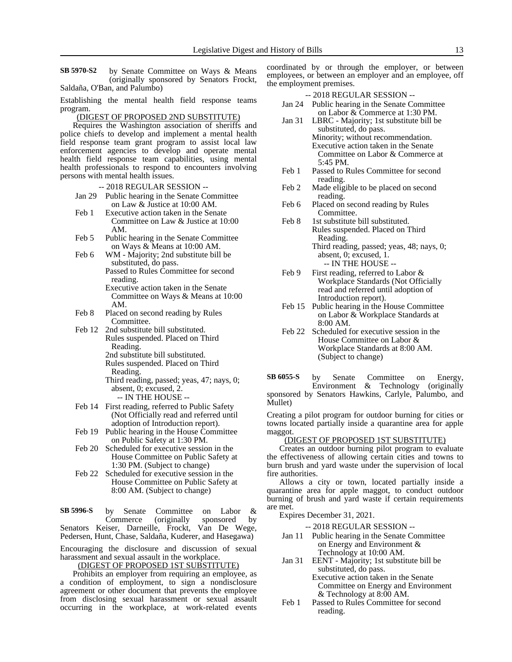by Senate Committee on Ways & Means (originally sponsored by Senators Frockt, Saldaña, O'Ban, and Palumbo) **SB 5970-S2**

Establishing the mental health field response teams program.

#### (DIGEST OF PROPOSED 2ND SUBSTITUTE)

Requires the Washington association of sheriffs and police chiefs to develop and implement a mental health field response team grant program to assist local law enforcement agencies to develop and operate mental health field response team capabilities, using mental health professionals to respond to encounters involving persons with mental health issues.

- -- 2018 REGULAR SESSION --
- Jan 29 Public hearing in the Senate Committee on Law & Justice at 10:00 AM.
- Feb 1 Executive action taken in the Senate Committee on Law & Justice at 10:00 AM.
- Feb 5 Public hearing in the Senate Committee on Ways & Means at 10:00 AM.
- Feb 6 WM Majority; 2nd substitute bill be substituted, do pass. Passed to Rules Committee for second
	- reading.
	- Executive action taken in the Senate Committee on Ways & Means at 10:00 AM.
- Feb 8 Placed on second reading by Rules Committee.
- Feb 12 2nd substitute bill substituted. Rules suspended. Placed on Third Reading. 2nd substitute bill substituted.
	- Rules suspended. Placed on Third
	- Reading. Third reading, passed; yeas, 47; nays, 0; absent, 0; excused, 2.
		- -- IN THE HOUSE --
- Feb 14 First reading, referred to Public Safety (Not Officially read and referred until adoption of Introduction report).
- Feb 19 Public hearing in the House Committee on Public Safety at 1:30 PM.
- Feb 20 Scheduled for executive session in the House Committee on Public Safety at 1:30 PM. (Subject to change)
- Feb 22 Scheduled for executive session in the House Committee on Public Safety at 8:00 AM. (Subject to change)

by Senate Committee on Labor & Commerce (originally sponsored by Senators Keiser, Darneille, Frockt, Van De Wege, Pedersen, Hunt, Chase, Saldaña, Kuderer, and Hasegawa) **SB 5996-S**

Encouraging the disclosure and discussion of sexual

harassment and sexual assault in the workplace. (DIGEST OF PROPOSED 1ST SUBSTITUTE)

Prohibits an employer from requiring an employee, as a condition of employment, to sign a nondisclosure agreement or other document that prevents the employee from disclosing sexual harassment or sexual assault occurring in the workplace, at work-related events coordinated by or through the employer, or between employees, or between an employer and an employee, off the employment premises.

-- 2018 REGULAR SESSION --

- Jan 24 Public hearing in the Senate Committee on Labor & Commerce at 1:30 PM.
- Jan 31 LBRC Majority; 1st substitute bill be substituted, do pass. Minority; without recommendation. Executive action taken in the Senate Committee on Labor & Commerce at 5:45 PM.
- Feb 1 Passed to Rules Committee for second reading.
- Feb 2 Made eligible to be placed on second reading.
- Feb 6 Placed on second reading by Rules Committee.
- Feb 8 1st substitute bill substituted. Rules suspended. Placed on Third Reading. Third reading, passed; yeas, 48; nays, 0; absent, 0; excused, 1. -- IN THE HOUSE --
- Feb 9 First reading, referred to Labor & Workplace Standards (Not Officially read and referred until adoption of Introduction report).
- Feb 15 Public hearing in the House Committee on Labor & Workplace Standards at 8:00 AM.
- Feb 22 Scheduled for executive session in the House Committee on Labor & Workplace Standards at 8:00 AM. (Subject to change)

by Senate Committee on Energy, Environment & Technology (originally sponsored by Senators Hawkins, Carlyle, Palumbo, and Mullet) **SB 6055-S**

Creating a pilot program for outdoor burning for cities or towns located partially inside a quarantine area for apple maggot.

#### (DIGEST OF PROPOSED 1ST SUBSTITUTE)

Creates an outdoor burning pilot program to evaluate the effectiveness of allowing certain cities and towns to burn brush and yard waste under the supervision of local fire authorities.

Allows a city or town, located partially inside a quarantine area for apple maggot, to conduct outdoor burning of brush and yard waste if certain requirements are met.

Expires December 31, 2021.

-- 2018 REGULAR SESSION --

- Jan 11 Public hearing in the Senate Committee on Energy and Environment & Technology at 10:00 AM.
- Jan 31 EENT Majority; 1st substitute bill be substituted, do pass.

Executive action taken in the Senate Committee on Energy and Environment & Technology at 8:00 AM.

Feb 1 Passed to Rules Committee for second reading.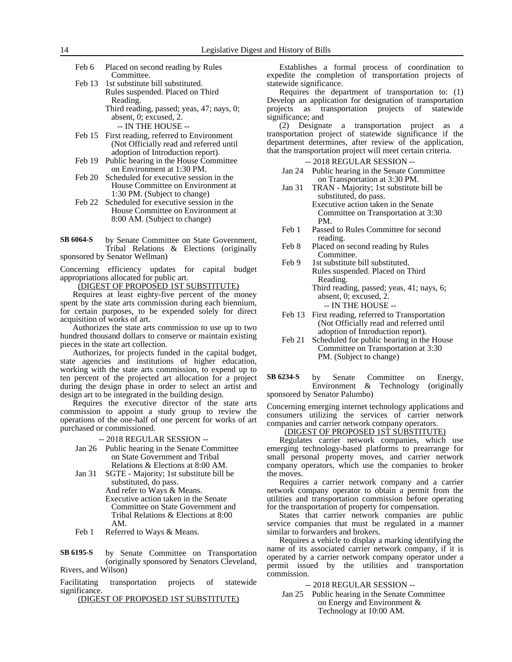|                | Feb 6 Placed on second reading by Rules              |
|----------------|------------------------------------------------------|
|                | Committee.                                           |
| $E_{\rm B}$ 12 | المستنقذ والمحارب الثاري والمتحافظ والمحارب والمحارب |

Feb 13 1st substitute bill substituted. Rules suspended. Placed on Third Reading. Third reading, passed; yeas, 47; nays, 0;

absent, 0; excused, 2. -- IN THE HOUSE --

- Feb 15 First reading, referred to Environment (Not Officially read and referred until adoption of Introduction report).
- Feb 19 Public hearing in the House Committee on Environment at 1:30 PM.
- Feb 20 Scheduled for executive session in the House Committee on Environment at 1:30 PM. (Subject to change)
- Feb 22 Scheduled for executive session in the House Committee on Environment at 8:00 AM. (Subject to change)
- by Senate Committee on State Government, Tribal Relations & Elections (originally sponsored by Senator Wellman) **SB 6064-S**

Concerning efficiency updates for capital budget appropriations allocated for public art.

(DIGEST OF PROPOSED 1ST SUBSTITUTE)

Requires at least eighty-five percent of the money spent by the state arts commission during each biennium, for certain purposes, to be expended solely for direct acquisition of works of art.

Authorizes the state arts commission to use up to two hundred thousand dollars to conserve or maintain existing pieces in the state art collection.

Authorizes, for projects funded in the capital budget, state agencies and institutions of higher education, working with the state arts commission, to expend up to ten percent of the projected art allocation for a project during the design phase in order to select an artist and design art to be integrated in the building design.

Requires the executive director of the state arts commission to appoint a study group to review the operations of the one-half of one percent for works of art purchased or commissioned.

-- 2018 REGULAR SESSION --

- Jan 26 Public hearing in the Senate Committee on State Government and Tribal Relations & Elections at 8:00 AM.
- Jan 31 SGTE Majority; 1st substitute bill be substituted, do pass.
	- And refer to Ways & Means. Executive action taken in the Senate Committee on State Government and Tribal Relations & Elections at 8:00 AM.
- Feb 1 Referred to Ways & Means.

by Senate Committee on Transportation (originally sponsored by Senators Cleveland, Rivers, and Wilson) **SB 6195-S**

Facilitating transportation projects of statewide significance.

(DIGEST OF PROPOSED 1ST SUBSTITUTE)

Establishes a formal process of coordination to expedite the completion of transportation projects of statewide significance.

Requires the department of transportation to: (1) Develop an application for designation of transportation projects as transportation projects of statewide significance; and

(2) Designate a transportation project as a transportation project of statewide significance if the department determines, after review of the application, that the transportation project will meet certain criteria.

-- 2018 REGULAR SESSION --

Jan 24 Public hearing in the Senate Committee on Transportation at 3:30 PM.

Jan 31 TRAN - Majority; 1st substitute bill be substituted, do pass. Executive action taken in the Senate Committee on Transportation at 3:30 PM.

- Feb 1 Passed to Rules Committee for second reading.
- Feb 8 Placed on second reading by Rules Committee.
- Feb 9 1st substitute bill substituted. Rules suspended. Placed on Third Reading. Third reading, passed; yeas, 41; nays, 6;
	- absent, 0; excused, 2. -- IN THE HOUSE --
- Feb 13 First reading, referred to Transportation (Not Officially read and referred until adoption of Introduction report).
- Feb 21 Scheduled for public hearing in the House Committee on Transportation at 3:30 PM. (Subject to change)

by Senate Committee on Energy,<br>Environment & Technology (originally Technology (originally sponsored by Senator Palumbo) **SB 6234-S**

Concerning emerging internet technology applications and consumers utilizing the services of carrier network companies and carrier network company operators.

# (DIGEST OF PROPOSED 1ST SUBSTITUTE)

Regulates carrier network companies, which use emerging technology-based platforms to prearrange for small personal property moves, and carrier network company operators, which use the companies to broker the moves.

Requires a carrier network company and a carrier network company operator to obtain a permit from the utilities and transportation commission before operating for the transportation of property for compensation.

States that carrier network companies are public service companies that must be regulated in a manner similar to forwarders and brokers.

Requires a vehicle to display a marking identifying the name of its associated carrier network company, if it is operated by a carrier network company operator under a permit issued by the utilities and transportation commission.

-- 2018 REGULAR SESSION --

Jan 25 Public hearing in the Senate Committee on Energy and Environment & Technology at 10:00 AM.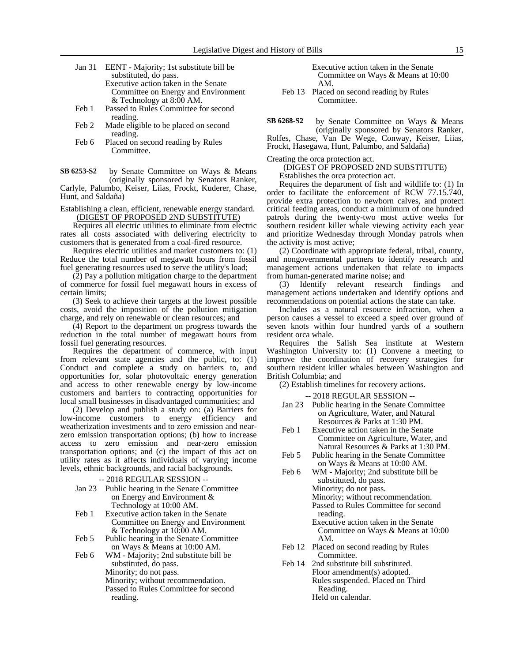- Jan 31 EENT Majority; 1st substitute bill be substituted, do pass. Executive action taken in the Senate Committee on Energy and Environment & Technology at 8:00 AM.
- Feb 1 Passed to Rules Committee for second reading.
- Feb 2 Made eligible to be placed on second reading.
- Feb 6 Placed on second reading by Rules Committee.

by Senate Committee on Ways & Means (originally sponsored by Senators Ranker, Carlyle, Palumbo, Keiser, Liias, Frockt, Kuderer, Chase, Hunt, and Saldaña) **SB 6253-S2**

Establishing a clean, efficient, renewable energy standard. (DIGEST OF PROPOSED 2ND SUBSTITUTE)

Requires all electric utilities to eliminate from electric rates all costs associated with delivering electricity to customers that is generated from a coal-fired resource.

Requires electric utilities and market customers to: (1) Reduce the total number of megawatt hours from fossil fuel generating resources used to serve the utility's load;

(2) Pay a pollution mitigation charge to the department of commerce for fossil fuel megawatt hours in excess of certain limits;

(3) Seek to achieve their targets at the lowest possible costs, avoid the imposition of the pollution mitigation charge, and rely on renewable or clean resources; and

(4) Report to the department on progress towards the reduction in the total number of megawatt hours from fossil fuel generating resources.

Requires the department of commerce, with input from relevant state agencies and the public, to:  $(1)$ Conduct and complete a study on barriers to, and opportunities for, solar photovoltaic energy generation and access to other renewable energy by low-income customers and barriers to contracting opportunities for local small businesses in disadvantaged communities; and

(2) Develop and publish a study on: (a) Barriers for low-income customers to energy efficiency and weatherization investments and to zero emission and nearzero emission transportation options; (b) how to increase access to zero emission and near-zero emission transportation options; and (c) the impact of this act on utility rates as it affects individuals of varying income levels, ethnic backgrounds, and racial backgrounds.

- -- 2018 REGULAR SESSION --
- Jan 23 Public hearing in the Senate Committee on Energy and Environment & Technology at 10:00 AM.
- Feb 1 Executive action taken in the Senate Committee on Energy and Environment & Technology at 10:00 AM.
- Feb 5 Public hearing in the Senate Committee on Ways & Means at 10:00 AM.
- Feb 6 WM Majority; 2nd substitute bill be substituted, do pass. Minority; do not pass.
	- Minority; without recommendation.
	- Passed to Rules Committee for second
	- reading.

Executive action taken in the Senate Committee on Ways & Means at 10:00 AM.

Feb 13 Placed on second reading by Rules Committee.

by Senate Committee on Ways & Means (originally sponsored by Senators Ranker, Rolfes, Chase, Van De Wege, Conway, Keiser, Liias, Frockt, Hasegawa, Hunt, Palumbo, and Saldaña) **SB 6268-S2**

Creating the orca protection act.

# (DIGEST OF PROPOSED 2ND SUBSTITUTE)

Establishes the orca protection act.

Requires the department of fish and wildlife to: (1) In order to facilitate the enforcement of RCW 77.15.740, provide extra protection to newborn calves, and protect critical feeding areas, conduct a minimum of one hundred patrols during the twenty-two most active weeks for southern resident killer whale viewing activity each year and prioritize Wednesday through Monday patrols when the activity is most active;

(2) Coordinate with appropriate federal, tribal, county, and nongovernmental partners to identify research and management actions undertaken that relate to impacts from human-generated marine noise; and

(3) Identify relevant research findings and management actions undertaken and identify options and recommendations on potential actions the state can take.

Includes as a natural resource infraction, when a person causes a vessel to exceed a speed over ground of seven knots within four hundred yards of a southern resident orca whale.

Requires the Salish Sea institute at Western Washington University to: (1) Convene a meeting to improve the coordination of recovery strategies for southern resident killer whales between Washington and British Columbia; and

(2) Establish timelines for recovery actions.

-- 2018 REGULAR SESSION --

- Jan 23 Public hearing in the Senate Committee on Agriculture, Water, and Natural Resources & Parks at 1:30 PM.
- Feb 1 Executive action taken in the Senate Committee on Agriculture, Water, and Natural Resources & Parks at 1:30 PM.
- Feb 5 Public hearing in the Senate Committee on Ways & Means at 10:00 AM.
- Feb 6 WM Majority; 2nd substitute bill be substituted, do pass. Minority; do not pass. Minority; without recommendation.

Passed to Rules Committee for second reading.

- Executive action taken in the Senate Committee on Ways & Means at 10:00 AM.
- Feb 12 Placed on second reading by Rules Committee.
- Feb 14 2nd substitute bill substituted. Floor amendment(s) adopted. Rules suspended. Placed on Third Reading. Held on calendar.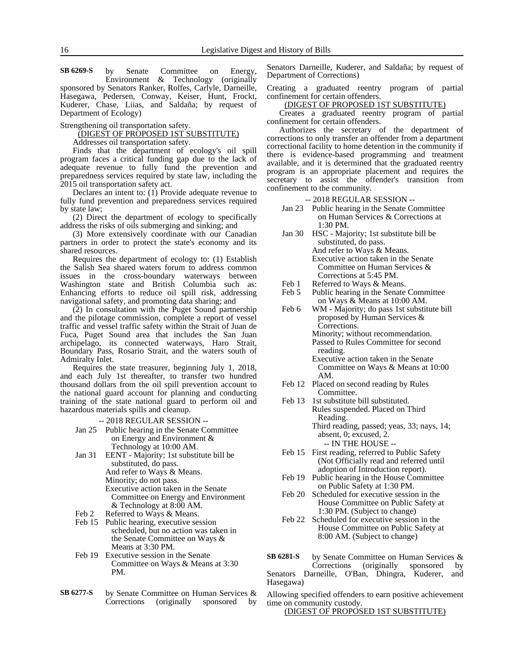by Senate Committee on Energy, Environment & Technology (originally sponsored by Senators Ranker, Rolfes, Carlyle, Darneille, Hasegawa, Pedersen, Conway, Keiser, Hunt, Frockt, Kuderer, Chase, Liias, and Saldaña; by request of Department of Ecology) **SB 6269-S**

Strengthening oil transportation safety.

(DIGEST OF PROPOSED 1ST SUBSTITUTE)

Addresses oil transportation safety.

Finds that the department of ecology's oil spill program faces a critical funding gap due to the lack of adequate revenue to fully fund the prevention and preparedness services required by state law, including the 2015 oil transportation safety act.

Declares an intent to: (1) Provide adequate revenue to fully fund prevention and preparedness services required by state law;

(2) Direct the department of ecology to specifically address the risks of oils submerging and sinking; and

(3) More extensively coordinate with our Canadian partners in order to protect the state's economy and its shared resources.

Requires the department of ecology to: (1) Establish the Salish Sea shared waters forum to address common issues in the cross-boundary waterways between Washington state and British Columbia such as: Enhancing efforts to reduce oil spill risk, addressing navigational safety, and promoting data sharing; and

(2) In consultation with the Puget Sound partnership and the pilotage commission, complete a report of vessel traffic and vessel traffic safety within the Strait of Juan de Fuca, Puget Sound area that includes the San Juan archipelago, its connected waterways, Haro Strait, Boundary Pass, Rosario Strait, and the waters south of Admiralty Inlet.

Requires the state treasurer, beginning July 1, 2018, and each July 1st thereafter, to transfer two hundred thousand dollars from the oil spill prevention account to the national guard account for planning and conducting training of the state national guard to perform oil and hazardous materials spills and cleanup.

-- 2018 REGULAR SESSION --

- Jan 25 Public hearing in the Senate Committee on Energy and Environment & Technology at 10:00 AM.
- Jan 31 EENT Majority; 1st substitute bill be substituted, do pass. And refer to Ways & Means. Minority; do not pass. Executive action taken in the Senate Committee on Energy and Environment & Technology at 8:00 AM.
- Feb 2 Referred to Ways & Means.
- Feb 15 Public hearing, executive session scheduled, but no action was taken in the Senate Committee on Ways & Means at 3:30 PM.
- Feb 19 Executive session in the Senate Committee on Ways & Means at 3:30 PM.
- by Senate Committee on Human Services & Corrections (originally sponsored by **SB 6277-S**

Senators Darneille, Kuderer, and Saldaña; by request of Department of Corrections)

Creating a graduated reentry program of partial confinement for certain offenders.

(DIGEST OF PROPOSED 1ST SUBSTITUTE)

Creates a graduated reentry program of partial confinement for certain offenders.

Authorizes the secretary of the department of corrections to only transfer an offender from a department correctional facility to home detention in the community if there is evidence-based programming and treatment available, and it is determined that the graduated reentry program is an appropriate placement and requires the secretary to assist the offender's transition from confinement to the community.

-- 2018 REGULAR SESSION --

- Jan 23 Public hearing in the Senate Committee on Human Services & Corrections at 1:30 PM.
- Jan 30 HSC Majority; 1st substitute bill be substituted, do pass. And refer to Ways & Means. Executive action taken in the Senate Committee on Human Services & Corrections at 5:45 PM.
- Feb 1 Referred to Ways & Means.<br>Feb 5 Public hearing in the Senate Public hearing in the Senate Committee
- on Ways & Means at 10:00 AM. Feb 6 WM - Majority; do pass 1st substitute bill proposed by Human Services & Corrections. Minority; without recommendation. Passed to Rules Committee for second reading.

Executive action taken in the Senate Committee on Ways & Means at 10:00 AM.

- Feb 12 Placed on second reading by Rules Committee.
- Feb 13 1st substitute bill substituted. Rules suspended. Placed on Third Reading. Third reading, passed; yeas, 33; nays, 14;
	- absent, 0; excused, 2. -- IN THE HOUSE --
- Feb 15 First reading, referred to Public Safety (Not Officially read and referred until adoption of Introduction report).
- Feb 19 Public hearing in the House Committee on Public Safety at 1:30 PM.
- Feb 20 Scheduled for executive session in the House Committee on Public Safety at 1:30 PM. (Subject to change)
- Feb 22 Scheduled for executive session in the House Committee on Public Safety at 8:00 AM. (Subject to change)

by Senate Committee on Human Services &<br>Corrections (originally sponsored by (originally sponsored by Senators Darneille, O'Ban, Dhingra, Kuderer, and Hasegawa) **SB 6281-S**

Allowing specified offenders to earn positive achievement time on community custody.

(DIGEST OF PROPOSED 1ST SUBSTITUTE)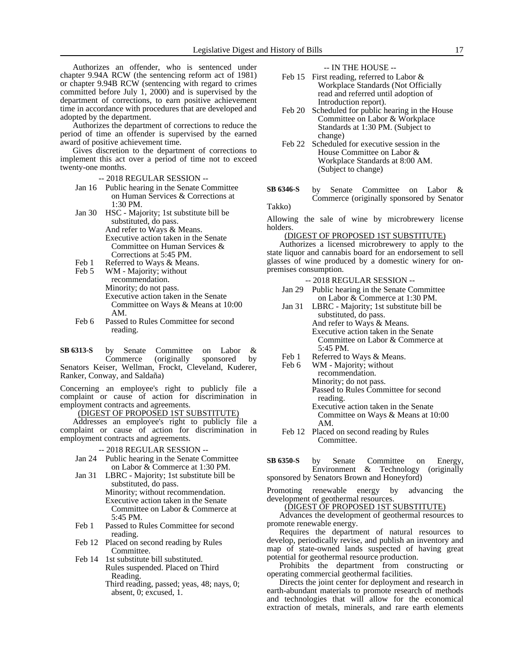Authorizes an offender, who is sentenced under chapter 9.94A RCW (the sentencing reform act of 1981) or chapter 9.94B RCW (sentencing with regard to crimes committed before July 1, 2000) and is supervised by the department of corrections, to earn positive achievement time in accordance with procedures that are developed and adopted by the department.

Authorizes the department of corrections to reduce the period of time an offender is supervised by the earned award of positive achievement time.

Gives discretion to the department of corrections to implement this act over a period of time not to exceed twenty-one months.

-- 2018 REGULAR SESSION --

- Jan 16 Public hearing in the Senate Committee on Human Services & Corrections at 1:30 PM.
- Jan 30 HSC Majority; 1st substitute bill be substituted, do pass. And refer to Ways & Means. Executive action taken in the Senate Committee on Human Services & Corrections at 5:45 PM.
- 
- Feb 1 Referred to Ways & Means.<br>Feb 5 WM Majority; without WM - Majority; without recommendation. Minority; do not pass. Executive action taken in the Senate Committee on Ways & Means at 10:00 AM.
- Feb 6 Passed to Rules Committee for second reading.

by Senate Committee on Labor & Commerce (originally sponsored by Senators Keiser, Wellman, Frockt, Cleveland, Kuderer, Ranker, Conway, and Saldaña) **SB 6313-S**

Concerning an employee's right to publicly file a complaint or cause of action for discrimination in employment contracts and agreements.

# (DIGEST OF PROPOSED 1ST SUBSTITUTE)

Addresses an employee's right to publicly file a complaint or cause of action for discrimination in employment contracts and agreements.

- -- 2018 REGULAR SESSION --
- Jan 24 Public hearing in the Senate Committee on Labor & Commerce at 1:30 PM.
- Jan 31 LBRC Majority; 1st substitute bill be substituted, do pass.
	- Minority; without recommendation. Executive action taken in the Senate Committee on Labor & Commerce at 5:45 PM.
- Feb 1 Passed to Rules Committee for second reading.
- Feb 12 Placed on second reading by Rules Committee.
- Feb 14 1st substitute bill substituted. Rules suspended. Placed on Third Reading.
	- Third reading, passed; yeas, 48; nays, 0; absent, 0; excused, 1.

-- IN THE HOUSE --

- Feb 15 First reading, referred to Labor & Workplace Standards (Not Officially read and referred until adoption of Introduction report).
- Feb 20 Scheduled for public hearing in the House Committee on Labor & Workplace Standards at 1:30 PM. (Subject to change)
- Feb 22 Scheduled for executive session in the House Committee on Labor & Workplace Standards at 8:00 AM. (Subject to change)
- by Senate Committee on Labor & Commerce (originally sponsored by Senator Takko) **SB 6346-S**

Allowing the sale of wine by microbrewery license holders.

#### (DIGEST OF PROPOSED 1ST SUBSTITUTE)

Authorizes a licensed microbrewery to apply to the state liquor and cannabis board for an endorsement to sell glasses of wine produced by a domestic winery for onpremises consumption.

-- 2018 REGULAR SESSION --

- Jan 29 Public hearing in the Senate Committee on Labor & Commerce at 1:30 PM.
- Jan 31 LBRC Majority; 1st substitute bill be substituted, do pass. And refer to Ways & Means. Executive action taken in the Senate Committee on Labor & Commerce at
	- 5:45 PM.
- Feb 1 Referred to Ways & Means.<br>Feb 6 WM Maiority: without
	- WM Majority; without recommendation. Minority; do not pass. Passed to Rules Committee for second
		- reading. Executive action taken in the Senate Committee on Ways & Means at 10:00 AM.
- Feb 12 Placed on second reading by Rules Committee.

by Senate Committee on Energy, Environment & Technology (originally sponsored by Senators Brown and Honeyford) **SB 6350-S**

Promoting renewable energy by advancing the development of geothermal resources.

(DIGEST OF PROPOSED 1ST SUBSTITUTE)

Advances the development of geothermal resources to promote renewable energy.

Requires the department of natural resources to develop, periodically revise, and publish an inventory and map of state-owned lands suspected of having great potential for geothermal resource production.

Prohibits the department from constructing or operating commercial geothermal facilities.

Directs the joint center for deployment and research in earth-abundant materials to promote research of methods and technologies that will allow for the economical extraction of metals, minerals, and rare earth elements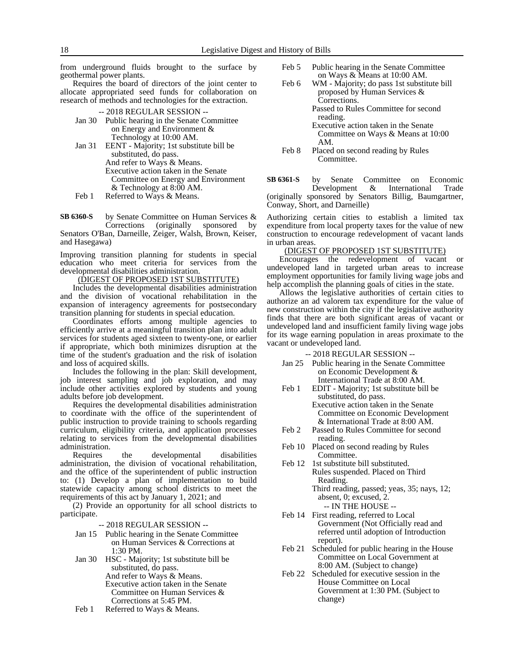from underground fluids brought to the surface by geothermal power plants.

Requires the board of directors of the joint center to allocate appropriated seed funds for collaboration on research of methods and technologies for the extraction.

#### -- 2018 REGULAR SESSION --

- Jan 30 Public hearing in the Senate Committee on Energy and Environment & Technology at 10:00 AM.
- Jan 31 EENT Majority; 1st substitute bill be substituted, do pass. And refer to Ways & Means. Executive action taken in the Senate

Committee on Energy and Environment & Technology at 8:00 AM.

Feb 1 Referred to Ways & Means.

by Senate Committee on Human Services &<br>Corrections (originally sponsored by (originally sponsored Senators O'Ban, Darneille, Zeiger, Walsh, Brown, Keiser, **SB 6360-S**

and Hasegawa)

Improving transition planning for students in special education who meet criteria for services from the developmental disabilities administration.

# (DIGEST OF PROPOSED 1ST SUBSTITUTE)

Includes the developmental disabilities administration and the division of vocational rehabilitation in the expansion of interagency agreements for postsecondary transition planning for students in special education.

Coordinates efforts among multiple agencies to efficiently arrive at a meaningful transition plan into adult services for students aged sixteen to twenty-one, or earlier if appropriate, which both minimizes disruption at the time of the student's graduation and the risk of isolation and loss of acquired skills.

Includes the following in the plan: Skill development, job interest sampling and job exploration, and may include other activities explored by students and young adults before job development.

Requires the developmental disabilities administration to coordinate with the office of the superintendent of public instruction to provide training to schools regarding curriculum, eligibility criteria, and application processes relating to services from the developmental disabilities administration.

Requires the developmental disabilities administration, the division of vocational rehabilitation, and the office of the superintendent of public instruction to: (1) Develop a plan of implementation to build statewide capacity among school districts to meet the requirements of this act by January 1, 2021; and

(2) Provide an opportunity for all school districts to participate.

-- 2018 REGULAR SESSION --

- Jan 15 Public hearing in the Senate Committee on Human Services & Corrections at 1:30 PM.
- Jan 30 HSC Majority; 1st substitute bill be substituted, do pass. And refer to Ways & Means. Executive action taken in the Senate Committee on Human Services & Corrections at 5:45 PM.
- Feb 1 Referred to Ways & Means.
- Feb 5 Public hearing in the Senate Committee on Ways & Means at 10:00 AM.
- Feb 6 WM Majority; do pass 1st substitute bill proposed by Human Services & Corrections.
	- Passed to Rules Committee for second reading.
		- Executive action taken in the Senate Committee on Ways & Means at 10:00 AM.
- Feb 8 Placed on second reading by Rules Committee.

by Senate Committee on Economic<br>Development & International Trade Development & International Trade (originally sponsored by Senators Billig, Baumgartner, Conway, Short, and Darneille) **SB 6361-S**

Authorizing certain cities to establish a limited tax expenditure from local property taxes for the value of new construction to encourage redevelopment of vacant lands in urban areas.

#### (DIGEST OF PROPOSED 1ST SUBSTITUTE)

Encourages the redevelopment of vacant or undeveloped land in targeted urban areas to increase employment opportunities for family living wage jobs and help accomplish the planning goals of cities in the state.

Allows the legislative authorities of certain cities to authorize an ad valorem tax expenditure for the value of new construction within the city if the legislative authority finds that there are both significant areas of vacant or undeveloped land and insufficient family living wage jobs for its wage earning population in areas proximate to the vacant or undeveloped land.

- -- 2018 REGULAR SESSION --
- Jan 25 Public hearing in the Senate Committee on Economic Development & International Trade at 8:00 AM.
- Feb 1 EDIT Majority; 1st substitute bill be substituted, do pass. Executive action taken in the Senate Committee on Economic Development & International Trade at 8:00 AM.
- Feb 2 Passed to Rules Committee for second reading.
- Feb 10 Placed on second reading by Rules Committee.
- Feb 12 1st substitute bill substituted. Rules suspended. Placed on Third Reading. Third reading, passed; yeas, 35; nays, 12;
	- absent, 0; excused, 2. -- IN THE HOUSE --
- Feb 14 First reading, referred to Local Government (Not Officially read and referred until adoption of Introduction report).
- Feb 21 Scheduled for public hearing in the House Committee on Local Government at 8:00 AM. (Subject to change)
- Feb 22 Scheduled for executive session in the House Committee on Local Government at 1:30 PM. (Subject to change)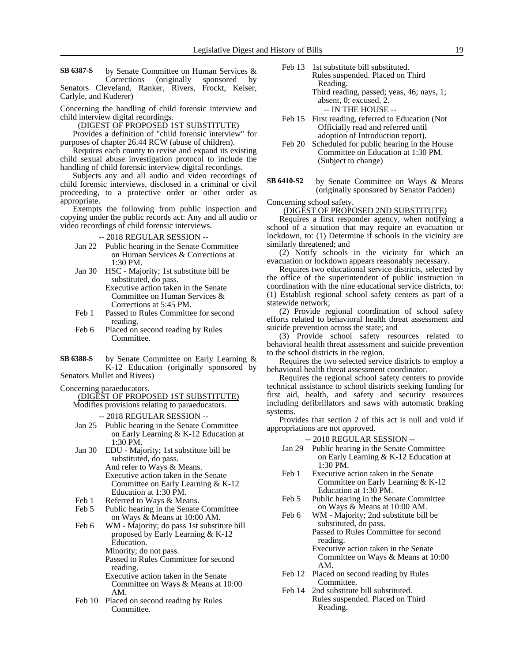by Senate Committee on Human Services & Corrections (originally sponsored by Senators Cleveland, Ranker, Rivers, Frockt, Keiser, Carlyle, and Kuderer) **SB 6387-S**

Concerning the handling of child forensic interview and child interview digital recordings.

(DIGEST OF PROPOSED 1ST SUBSTITUTE)

Provides a definition of "child forensic interview" for purposes of chapter 26.44 RCW (abuse of children).

Requires each county to revise and expand its existing child sexual abuse investigation protocol to include the handling of child forensic interview digital recordings.

Subjects any and all audio and video recordings of child forensic interviews, disclosed in a criminal or civil proceeding, to a protective order or other order as appropriate.

Exempts the following from public inspection and copying under the public records act: Any and all audio or video recordings of child forensic interviews.

-- 2018 REGULAR SESSION --

- Jan 22 Public hearing in the Senate Committee on Human Services & Corrections at 1:30 PM.
- Jan 30 HSC Majority; 1st substitute bill be substituted, do pass.

Executive action taken in the Senate Committee on Human Services & Corrections at 5:45 PM.

- Feb 1 Passed to Rules Committee for second reading.
- Feb 6 Placed on second reading by Rules Committee.
- by Senate Committee on Early Learning & K-12 Education (originally sponsored by **SB 6388-S**

Senators Mullet and Rivers)

Concerning paraeducators.

(DIGEST OF PROPOSED 1ST SUBSTITUTE)

Modifies provisions relating to paraeducators.

-- 2018 REGULAR SESSION --

- Jan 25 Public hearing in the Senate Committee on Early Learning & K-12 Education at 1:30 PM.
- Jan 30 EDU Majority; 1st substitute bill be substituted, do pass. And refer to Ways & Means. Executive action taken in the Senate Committee on Early Learning & K-12
- Education at 1:30 PM. Feb 1 Referred to Ways & Means.
- Feb 5 Public hearing in the Senate Committee on Ways & Means at 10:00 AM.
- Feb 6 WM Majority; do pass 1st substitute bill proposed by Early Learning & K-12 Education. Minority; do not pass. Passed to Rules Committee for second reading.
	- Executive action taken in the Senate Committee on Ways & Means at 10:00 AM.
- Feb 10 Placed on second reading by Rules Committee.
- Feb 13 1st substitute bill substituted. Rules suspended. Placed on Third Reading.
	- Third reading, passed; yeas, 46; nays, 1; absent, 0; excused, 2.

-- IN THE HOUSE --

- Feb 15 First reading, referred to Education (Not Officially read and referred until adoption of Introduction report).
- Feb 20 Scheduled for public hearing in the House Committee on Education at 1:30 PM. (Subject to change)
- by Senate Committee on Ways & Means (originally sponsored by Senator Padden) **SB 6410-S2**

Concerning school safety.

(DIGEST OF PROPOSED 2ND SUBSTITUTE)

Requires a first responder agency, when notifying a school of a situation that may require an evacuation or lockdown, to: (1) Determine if schools in the vicinity are similarly threatened; and

(2) Notify schools in the vicinity for which an evacuation or lockdown appears reasonably necessary.

Requires two educational service districts, selected by the office of the superintendent of public instruction in coordination with the nine educational service districts, to: (1) Establish regional school safety centers as part of a statewide network;

(2) Provide regional coordination of school safety efforts related to behavioral health threat assessment and suicide prevention across the state; and

(3) Provide school safety resources related to behavioral health threat assessment and suicide prevention to the school districts in the region.

Requires the two selected service districts to employ a behavioral health threat assessment coordinator.

Requires the regional school safety centers to provide technical assistance to school districts seeking funding for first aid, health, and safety and security resources including defibrillators and saws with automatic braking systems.

Provides that section 2 of this act is null and void if appropriations are not approved.

-- 2018 REGULAR SESSION --

- Jan 29 Public hearing in the Senate Committee on Early Learning & K-12 Education at 1:30 PM.
- Feb 1 Executive action taken in the Senate Committee on Early Learning & K-12 Education at 1:30 PM.
- Feb 5 Public hearing in the Senate Committee on Ways & Means at 10:00 AM.
- Feb 6 WM Majority; 2nd substitute bill be substituted, do pass. Passed to Rules Committee for second reading. Executive action taken in the Senate

Committee on Ways & Means at 10:00 AM.

- Feb 12 Placed on second reading by Rules Committee.
- Feb 14 2nd substitute bill substituted. Rules suspended. Placed on Third Reading.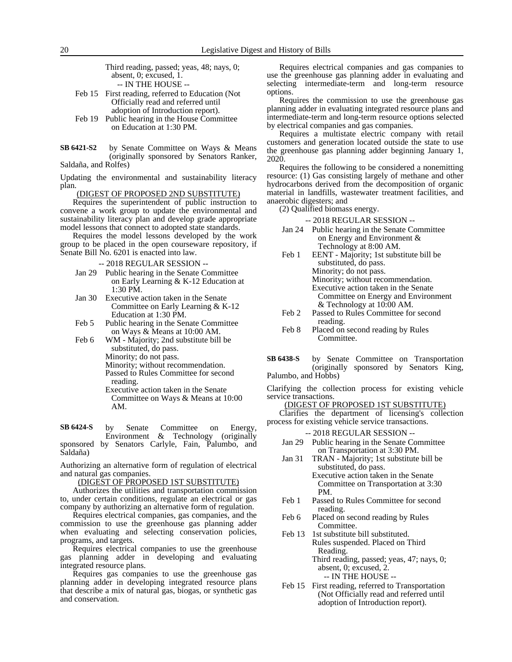Third reading, passed; yeas, 48; nays, 0; absent, 0; excused, 1. -- IN THE HOUSE --

- Feb 15 First reading, referred to Education (Not Officially read and referred until adoption of Introduction report).
- Feb 19 Public hearing in the House Committee on Education at 1:30 PM.
- by Senate Committee on Ways & Means (originally sponsored by Senators Ranker, Saldaña, and Rolfes) **SB 6421-S2**

Updating the environmental and sustainability literacy plan.

#### (DIGEST OF PROPOSED 2ND SUBSTITUTE)

Requires the superintendent of public instruction to convene a work group to update the environmental and sustainability literacy plan and develop grade appropriate model lessons that connect to adopted state standards.

Requires the model lessons developed by the work group to be placed in the open courseware repository, if Senate Bill No. 6201 is enacted into law.

-- 2018 REGULAR SESSION --

- Jan 29 Public hearing in the Senate Committee on Early Learning & K-12 Education at 1:30 PM.
- Jan 30 Executive action taken in the Senate Committee on Early Learning & K-12 Education at 1:30 PM.
- Feb 5 Public hearing in the Senate Committee on Ways & Means at 10:00 AM.
- Feb 6 WM Majority; 2nd substitute bill be substituted, do pass.
	- Minority; do not pass.
	- Minority; without recommendation.
	- Passed to Rules Committee for second reading.
	- Executive action taken in the Senate Committee on Ways & Means at 10:00 AM.

by Senate Committee on Energy, Environment & Technology (originally sponsored by Senators Carlyle, Fain, Palumbo, and Saldaña) **SB 6424-S**

Authorizing an alternative form of regulation of electrical and natural gas companies.

(DIGEST OF PROPOSED 1ST SUBSTITUTE)

Authorizes the utilities and transportation commission to, under certain conditions, regulate an electrical or gas company by authorizing an alternative form of regulation.

Requires electrical companies, gas companies, and the commission to use the greenhouse gas planning adder when evaluating and selecting conservation policies, programs, and targets.

Requires electrical companies to use the greenhouse gas planning adder in developing and evaluating integrated resource plans.

Requires gas companies to use the greenhouse gas planning adder in developing integrated resource plans that describe a mix of natural gas, biogas, or synthetic gas and conservation.

Requires electrical companies and gas companies to use the greenhouse gas planning adder in evaluating and selecting intermediate-term and long-term resource options.

Requires the commission to use the greenhouse gas planning adder in evaluating integrated resource plans and intermediate-term and long-term resource options selected by electrical companies and gas companies.

Requires a multistate electric company with retail customers and generation located outside the state to use the greenhouse gas planning adder beginning January 1, 2020.

Requires the following to be considered a nonemitting resource: (1) Gas consisting largely of methane and other hydrocarbons derived from the decomposition of organic material in landfills, wastewater treatment facilities, and anaerobic digesters; and

(2) Qualified biomass energy.

-- 2018 REGULAR SESSION --

- Jan 24 Public hearing in the Senate Committee on Energy and Environment & Technology at 8:00 AM.
- Feb 1 EENT Majority; 1st substitute bill be substituted, do pass. Minority; do not pass. Minority; without recommendation. Executive action taken in the Senate Committee on Energy and Environment & Technology at 10:00 AM.
- Feb 2 Passed to Rules Committee for second reading.
- Feb 8 Placed on second reading by Rules Committee.
- by Senate Committee on Transportation (originally sponsored by Senators King, Palumbo, and Hobbs) **SB 6438-S**

Clarifying the collection process for existing vehicle service transactions.

(DIGEST OF PROPOSED 1ST SUBSTITUTE)

Clarifies the department of licensing's collection process for existing vehicle service transactions.

-- 2018 REGULAR SESSION --

- Jan 29 Public hearing in the Senate Committee on Transportation at 3:30 PM.
- Jan 31 TRAN Majority; 1st substitute bill be substituted, do pass. Executive action taken in the Senate

Committee on Transportation at 3:30 PM.

- Feb 1 Passed to Rules Committee for second reading.
- Feb 6 Placed on second reading by Rules Committee.
- Feb 13 1st substitute bill substituted. Rules suspended. Placed on Third Reading. Third reading, passed; yeas, 47; nays, 0; absent, 0; excused, 2. -- IN THE HOUSE --
- Feb 15 First reading, referred to Transportation (Not Officially read and referred until adoption of Introduction report).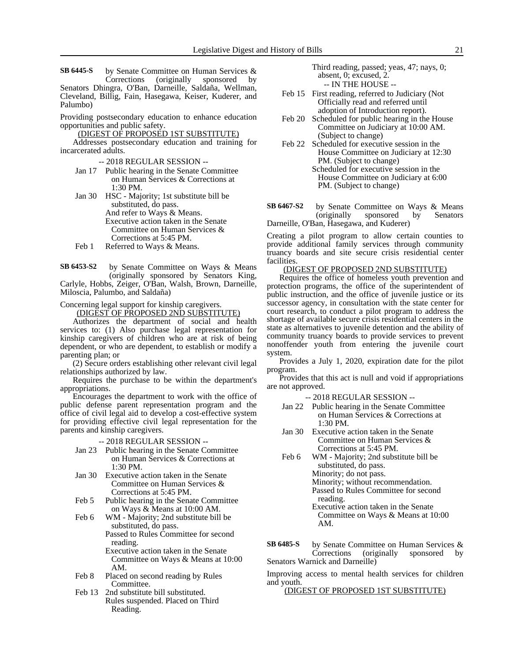by Senate Committee on Human Services & Corrections (originally sponsored by Senators Dhingra, O'Ban, Darneille, Saldaña, Wellman, Cleveland, Billig, Fain, Hasegawa, Keiser, Kuderer, and Palumbo) **SB 6445-S**

Providing postsecondary education to enhance education opportunities and public safety.

(DIGEST OF PROPOSED 1ST SUBSTITUTE)

Addresses postsecondary education and training for incarcerated adults.

-- 2018 REGULAR SESSION --

- Jan 17 Public hearing in the Senate Committee on Human Services & Corrections at 1:30 PM.
- Jan 30 HSC Majority; 1st substitute bill be substituted, do pass. And refer to Ways & Means. Executive action taken in the Senate Committee on Human Services & Corrections at 5:45 PM.
- Feb 1 Referred to Ways & Means.
- by Senate Committee on Ways & Means (originally sponsored by Senators King, Carlyle, Hobbs, Zeiger, O'Ban, Walsh, Brown, Darneille, Miloscia, Palumbo, and Saldaña) **SB 6453-S2**

Concerning legal support for kinship caregivers.

(DIGEST OF PROPOSED 2ND SUBSTITUTE)

Authorizes the department of social and health services to: (1) Also purchase legal representation for kinship caregivers of children who are at risk of being dependent, or who are dependent, to establish or modify a parenting plan; or

(2) Secure orders establishing other relevant civil legal relationships authorized by law.

Requires the purchase to be within the department's appropriations.

Encourages the department to work with the office of public defense parent representation program and the office of civil legal aid to develop a cost-effective system for providing effective civil legal representation for the parents and kinship caregivers.

#### -- 2018 REGULAR SESSION --

- Jan 23 Public hearing in the Senate Committee on Human Services & Corrections at 1:30 PM.
- Jan 30 Executive action taken in the Senate Committee on Human Services & Corrections at 5:45 PM.
- Feb 5 Public hearing in the Senate Committee on Ways & Means at 10:00 AM.

Feb 6 WM - Majority; 2nd substitute bill be substituted, do pass. Passed to Rules Committee for second reading. Executive action taken in the Senate Committee on Ways & Means at 10:00 AM.

- Feb 8 Placed on second reading by Rules Committee.
- Feb 13 2nd substitute bill substituted. Rules suspended. Placed on Third Reading.

Third reading, passed; yeas, 47; nays, 0; absent, 0; excused, 2. -- IN THE HOUSE --

- Feb 15 First reading, referred to Judiciary (Not Officially read and referred until adoption of Introduction report).
- Feb 20 Scheduled for public hearing in the House Committee on Judiciary at 10:00 AM. (Subject to change)
- Feb 22 Scheduled for executive session in the House Committee on Judiciary at 12:30 PM. (Subject to change)
	- Scheduled for executive session in the House Committee on Judiciary at 6:00 PM. (Subject to change)
- by Senate Committee on Ways & Means (originally sponsored by Senators Darneille, O'Ban, Hasegawa, and Kuderer) **SB 6467-S2**

Creating a pilot program to allow certain counties to provide additional family services through community truancy boards and site secure crisis residential center facilities.

# (DIGEST OF PROPOSED 2ND SUBSTITUTE)

Requires the office of homeless youth prevention and protection programs, the office of the superintendent of public instruction, and the office of juvenile justice or its successor agency, in consultation with the state center for court research, to conduct a pilot program to address the shortage of available secure crisis residential centers in the state as alternatives to juvenile detention and the ability of community truancy boards to provide services to prevent nonoffender youth from entering the juvenile court system.

Provides a July 1, 2020, expiration date for the pilot program.

Provides that this act is null and void if appropriations are not approved.

-- 2018 REGULAR SESSION --

- Jan 22 Public hearing in the Senate Committee on Human Services & Corrections at 1:30 PM.
- Jan 30 Executive action taken in the Senate Committee on Human Services & Corrections at 5:45 PM.
- Feb 6 WM Majority; 2nd substitute bill be substituted, do pass. Minority; do not pass. Minority; without recommendation.

Passed to Rules Committee for second reading. Executive action taken in the Senate

Committee on Ways & Means at 10:00 AM.

by Senate Committee on Human Services & Corrections (originally sponsored by Senators Warnick and Darneille) **SB 6485-S**

Improving access to mental health services for children and youth.

#### (DIGEST OF PROPOSED 1ST SUBSTITUTE)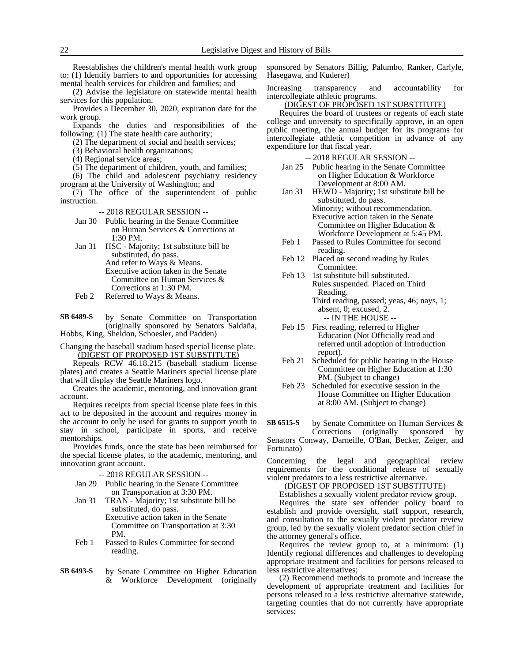Reestablishes the children's mental health work group to: (1) Identify barriers to and opportunities for accessing mental health services for children and families; and

(2) Advise the legislature on statewide mental health services for this population.

Provides a December 30, 2020, expiration date for the work group.

Expands the duties and responsibilities of the following: (1) The state health care authority;

(2) The department of social and health services;

(3) Behavioral health organizations;

(4) Regional service areas;

(5) The department of children, youth, and families;

(6) The child and adolescent psychiatry residency program at the University of Washington; and

 $(7)$  The office of the superintendent of public instruction.

-- 2018 REGULAR SESSION --

- Jan 30 Public hearing in the Senate Committee on Human Services & Corrections at 1:30 PM.
- Jan 31 HSC Majority; 1st substitute bill be substituted, do pass. And refer to Ways & Means. Executive action taken in the Senate Committee on Human Services & Corrections at 1:30 PM.
- Feb 2 Referred to Ways & Means.

by Senate Committee on Transportation (originally sponsored by Senators Saldaña, Hobbs, King, Sheldon, Schoesler, and Padden) **SB 6489-S**

Changing the baseball stadium based special license plate. (DIGEST OF PROPOSED 1ST SUBSTITUTE)

Repeals RCW 46.18.215 (baseball stadium license plates) and creates a Seattle Mariners special license plate that will display the Seattle Mariners logo.

Creates the academic, mentoring, and innovation grant account.

Requires receipts from special license plate fees in this act to be deposited in the account and requires money in the account to only be used for grants to support youth to stay in school, participate in sports, and receive mentorships.

Provides funds, once the state has been reimbursed for the special license plates, to the academic, mentoring, and innovation grant account.

-- 2018 REGULAR SESSION --

- Jan 29 Public hearing in the Senate Committee on Transportation at 3:30 PM.
- Jan 31 TRAN Majority; 1st substitute bill be substituted, do pass.

Executive action taken in the Senate Committee on Transportation at 3:30 PM.

- Feb 1 Passed to Rules Committee for second reading.
- by Senate Committee on Higher Education & Workforce Development (originally **SB 6493-S**

sponsored by Senators Billig, Palumbo, Ranker, Carlyle, Hasegawa, and Kuderer)

Increasing transparency and accountability for intercollegiate athletic programs.

#### (DIGEST OF PROPOSED 1ST SUBSTITUTE)

Requires the board of trustees or regents of each state college and university to specifically approve, in an open public meeting, the annual budget for its programs for intercollegiate athletic competition in advance of any expenditure for that fiscal year.

-- 2018 REGULAR SESSION --

- Jan 25 Public hearing in the Senate Committee on Higher Education & Workforce Development at 8:00 AM.
- Jan 31 HEWD Majority; 1st substitute bill be substituted, do pass. Minority; without recommendation. Executive action taken in the Senate Committee on Higher Education & Workforce Development at 5:45 PM.
- Feb 1 Passed to Rules Committee for second reading.
- Feb 12 Placed on second reading by Rules Committee.
- Feb 13 1st substitute bill substituted. Rules suspended. Placed on Third Reading. Third reading, passed; yeas, 46; nays, 1;
	- absent, 0; excused, 2. -- IN THE HOUSE --
- Feb 15 First reading, referred to Higher Education (Not Officially read and referred until adoption of Introduction report).
- Feb 21 Scheduled for public hearing in the House Committee on Higher Education at 1:30 PM. (Subject to change)
- Feb 23 Scheduled for executive session in the House Committee on Higher Education at 8:00 AM. (Subject to change)

by Senate Committee on Human Services & **SB 6515-S**

Corrections (originally sponsored Senators Conway, Darneille, O'Ban, Becker, Zeiger, and Fortunato)

Concerning the legal and geographical review requirements for the conditional release of sexually violent predators to a less restrictive alternative.

# (DIGEST OF PROPOSED 1ST SUBSTITUTE)

Establishes a sexually violent predator review group. Requires the state sex offender policy board to

establish and provide oversight, staff support, research, and consultation to the sexually violent predator review group, led by the sexually violent predator section chief in the attorney general's office.

Requires the review group to, at a minimum: (1) Identify regional differences and challenges to developing appropriate treatment and facilities for persons released to less restrictive alternatives;

(2) Recommend methods to promote and increase the development of appropriate treatment and facilities for persons released to a less restrictive alternative statewide, targeting counties that do not currently have appropriate services;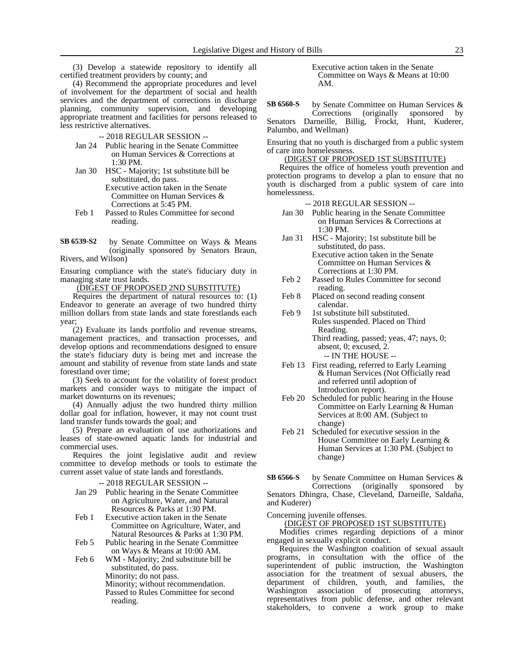(3) Develop a statewide repository to identify all certified treatment providers by county; and

(4) Recommend the appropriate procedures and level of involvement for the department of social and health services and the department of corrections in discharge planning, community supervision, and developing appropriate treatment and facilities for persons released to less restrictive alternatives.

- -- 2018 REGULAR SESSION --
- Jan 24 Public hearing in the Senate Committee on Human Services & Corrections at 1:30 PM.
- Jan 30 HSC Majority; 1st substitute bill be substituted, do pass. Executive action taken in the Senate Committee on Human Services &
- Corrections at 5:45 PM. Feb 1 Passed to Rules Committee for second reading.

by Senate Committee on Ways & Means (originally sponsored by Senators Braun, Rivers, and Wilson) **SB 6539-S2**

Ensuring compliance with the state's fiduciary duty in managing state trust lands.

(DIGEST OF PROPOSED 2ND SUBSTITUTE)

Requires the department of natural resources to: (1) Endeavor to generate an average of two hundred thirty million dollars from state lands and state forestlands each year;

(2) Evaluate its lands portfolio and revenue streams, management practices, and transaction processes, and develop options and recommendations designed to ensure the state's fiduciary duty is being met and increase the amount and stability of revenue from state lands and state forestland over time;

(3) Seek to account for the volatility of forest product markets and consider ways to mitigate the impact of market downturns on its revenues;

(4) Annually adjust the two hundred thirty million dollar goal for inflation, however, it may not count trust land transfer funds towards the goal; and

(5) Prepare an evaluation of use authorizations and leases of state-owned aquatic lands for industrial and commercial uses.

Requires the joint legislative audit and review committee to develop methods or tools to estimate the current asset value of state lands and forestlands.

-- 2018 REGULAR SESSION --

- Jan 29 Public hearing in the Senate Committee on Agriculture, Water, and Natural Resources & Parks at 1:30 PM.
- Feb 1 Executive action taken in the Senate Committee on Agriculture, Water, and Natural Resources & Parks at 1:30 PM.
- Feb 5 Public hearing in the Senate Committee on Ways & Means at 10:00 AM.
- Feb 6 WM Majority; 2nd substitute bill be substituted, do pass. Minority; do not pass. Minority; without recommendation. Passed to Rules Committee for second reading.

Executive action taken in the Senate Committee on Ways & Means at 10:00 AM.

by Senate Committee on Human Services & Corrections (originally sponsored by Senators Darneille, Billig, Frockt, Hunt, Kuderer, Palumbo, and Wellman) **SB 6560-S**

Ensuring that no youth is discharged from a public system of care into homelessness.

# (DIGEST OF PROPOSED 1ST SUBSTITUTE)

Requires the office of homeless youth prevention and protection programs to develop a plan to ensure that no youth is discharged from a public system of care into homelessness.

- -- 2018 REGULAR SESSION --
- Jan 30 Public hearing in the Senate Committee on Human Services & Corrections at 1:30 PM.
- Jan 31 HSC Majority; 1st substitute bill be substituted, do pass. Executive action taken in the Senate Committee on Human Services & Corrections at 1:30 PM.
- Feb 2 Passed to Rules Committee for second reading.
- Feb 8 Placed on second reading consent calendar.
- Feb 9 1st substitute bill substituted. Rules suspended. Placed on Third Reading. Third reading, passed; yeas, 47; nays, 0; absent, 0; excused, 2.

-- IN THE HOUSE --

- Feb 13 First reading, referred to Early Learning & Human Services (Not Officially read and referred until adoption of Introduction report).
- Feb 20 Scheduled for public hearing in the House Committee on Early Learning & Human Services at 8:00 AM. (Subject to change)
- Feb 21 Scheduled for executive session in the House Committee on Early Learning & Human Services at 1:30 PM. (Subject to change)

by Senate Committee on Human Services & Corrections (originally sponsored by Senators Dhingra, Chase, Cleveland, Darneille, Saldaña, and Kuderer) **SB 6566-S**

Concerning juvenile offenses.

(DIGEST OF PROPOSED 1ST SUBSTITUTE)

Modifies crimes regarding depictions of a minor engaged in sexually explicit conduct.

Requires the Washington coalition of sexual assault programs, in consultation with the office of the superintendent of public instruction, the Washington association for the treatment of sexual abusers, the department of children, youth, and families, the Washington association of prosecuting attorneys, representatives from public defense, and other relevant stakeholders, to convene a work group to make